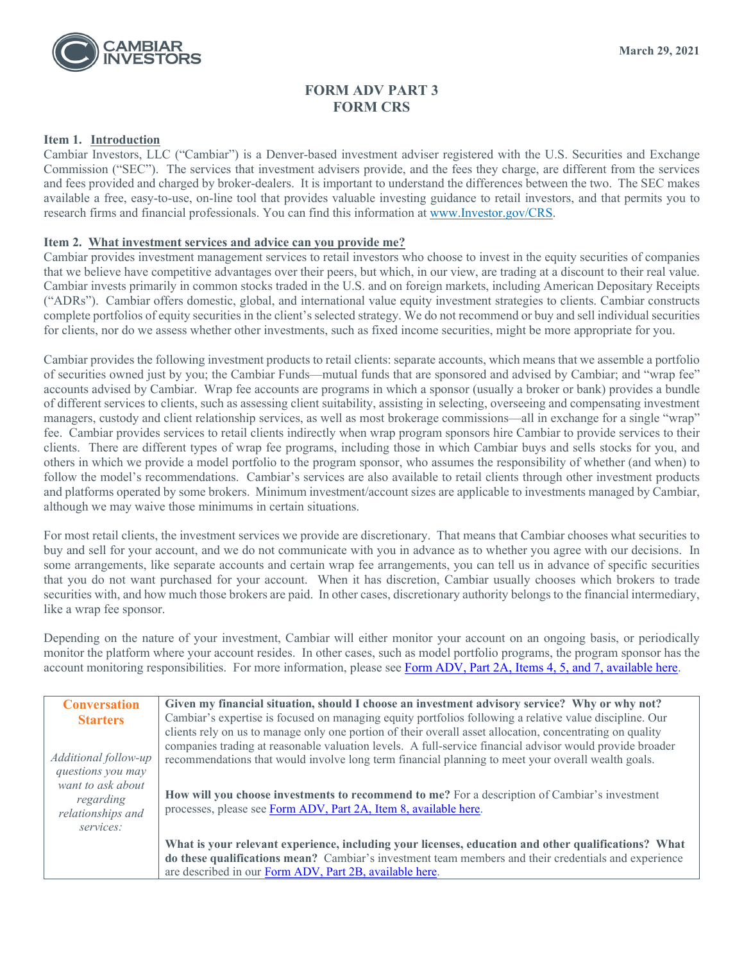

### **FORM ADV PART 3 FORM CRS**

#### **Item 1. Introduction**

Cambiar Investors, LLC ("Cambiar") is a Denver-based investment adviser registered with the U.S. Securities and Exchange Commission ("SEC"). The services that investment advisers provide, and the fees they charge, are different from the services and fees provided and charged by broker-dealers. It is important to understand the differences between the two. The SEC makes available a free, easy-to-use, on-line tool that provides valuable investing guidance to retail investors, and that permits you to research firms and financial professionals. You can find this information at [www.Investor.gov/CRS.](http://www.investor.gov/CRS)

#### **Item 2. What investment services and advice can you provide me?**

Cambiar provides investment management services to retail investors who choose to invest in the equity securities of companies that we believe have competitive advantages over their peers, but which, in our view, are trading at a discount to their real value. Cambiar invests primarily in common stocks traded in the U.S. and on foreign markets, including American Depositary Receipts ("ADRs"). Cambiar offers domestic, global, and international value equity investment strategies to clients. Cambiar constructs complete portfolios of equity securities in the client's selected strategy. We do not recommend or buy and sell individual securities for clients, nor do we assess whether other investments, such as fixed income securities, might be more appropriate for you.

Cambiar provides the following investment products to retail clients: separate accounts, which means that we assemble a portfolio of securities owned just by you; the Cambiar Funds—mutual funds that are sponsored and advised by Cambiar; and "wrap fee" accounts advised by Cambiar. Wrap fee accounts are programs in which a sponsor (usually a broker or bank) provides a bundle of different services to clients, such as assessing client suitability, assisting in selecting, overseeing and compensating investment managers, custody and client relationship services, as well as most brokerage commissions—all in exchange for a single "wrap" fee. Cambiar provides services to retail clients indirectly when wrap program sponsors hire Cambiar to provide services to their clients. There are different types of wrap fee programs, including those in which Cambiar buys and sells stocks for you, and others in which we provide a model portfolio to the program sponsor, who assumes the responsibility of whether (and when) to follow the model's recommendations. Cambiar's services are also available to retail clients through other investment products and platforms operated by some brokers. Minimum investment/account sizes are applicable to investments managed by Cambiar, although we may waive those minimums in certain situations.

For most retail clients, the investment services we provide are discretionary. That means that Cambiar chooses what securities to buy and sell for your account, and we do not communicate with you in advance as to whether you agree with our decisions. In some arrangements, like separate accounts and certain wrap fee arrangements, you can tell us in advance of specific securities that you do not want purchased for your account. When it has discretion, Cambiar usually chooses which brokers to trade securities with, and how much those brokers are paid. In other cases, discretionary authority belongs to the financial intermediary, like a wrap fee sponsor.

Depending on the nature of your investment, Cambiar will either monitor your account on an ongoing basis, or periodically monitor the platform where your account resides. In other cases, such as model portfolio programs, the program sponsor has the account monitoring responsibilities. For more information, please see Form ADV, Part 2A, [Items 4, 5, and 7, available here.](https://adviserinfo.sec.gov/firm/summary/115093)

| <b>Conversation</b>  | Given my financial situation, should I choose an investment advisory service? Why or why not?             |
|----------------------|-----------------------------------------------------------------------------------------------------------|
| <b>Starters</b>      | Cambiar's expertise is focused on managing equity portfolios following a relative value discipline. Our   |
|                      | clients rely on us to manage only one portion of their overall asset allocation, concentrating on quality |
|                      | companies trading at reasonable valuation levels. A full-service financial advisor would provide broader  |
| Additional follow-up | recommendations that would involve long term financial planning to meet your overall wealth goals.        |
| questions you may    |                                                                                                           |
| want to ask about    | How will you choose investments to recommend to me? For a description of Cambiar's investment             |
| regarding            | processes, please see Form ADV, Part 2A, Item 8, available here.                                          |
| relationships and    |                                                                                                           |
| services:            |                                                                                                           |
|                      | What is your relevant experience, including your licenses, education and other qualifications? What       |
|                      | do these qualifications mean? Cambiar's investment team members and their credentials and experience      |
|                      | are described in our Form ADV, Part 2B, available here.                                                   |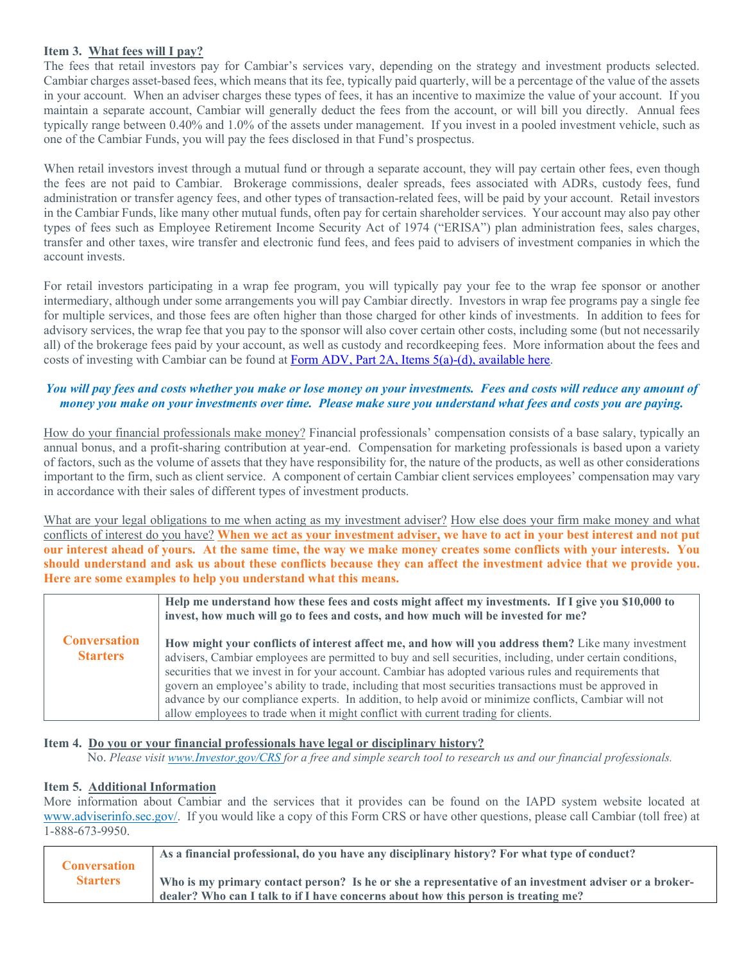#### **Item 3. What fees will I pay?**

The fees that retail investors pay for Cambiar's services vary, depending on the strategy and investment products selected. Cambiar charges asset-based fees, which means that its fee, typically paid quarterly, will be a percentage of the value of the assets in your account. When an adviser charges these types of fees, it has an incentive to maximize the value of your account. If you maintain a separate account, Cambiar will generally deduct the fees from the account, or will bill you directly. Annual fees typically range between 0.40% and 1.0% of the assets under management. If you invest in a pooled investment vehicle, such as one of the Cambiar Funds, you will pay the fees disclosed in that Fund's prospectus.

When retail investors invest through a mutual fund or through a separate account, they will pay certain other fees, even though the fees are not paid to Cambiar. Brokerage commissions, dealer spreads, fees associated with ADRs, custody fees, fund administration or transfer agency fees, and other types of transaction-related fees, will be paid by your account. Retail investors in the Cambiar Funds, like many other mutual funds, often pay for certain shareholder services. Your account may also pay other types of fees such as Employee Retirement Income Security Act of 1974 ("ERISA") plan administration fees, sales charges, transfer and other taxes, wire transfer and electronic fund fees, and fees paid to advisers of investment companies in which the account invests.

For retail investors participating in a wrap fee program, you will typically pay your fee to the wrap fee sponsor or another intermediary, although under some arrangements you will pay Cambiar directly. Investors in wrap fee programs pay a single fee for multiple services, and those fees are often higher than those charged for other kinds of investments. In addition to fees for advisory services, the wrap fee that you pay to the sponsor will also cover certain other costs, including some (but not necessarily all) of the brokerage fees paid by your account, as well as custody and recordkeeping fees. More information about the fees and costs of investing with Cambiar can be found at Form ADV, Part 2A, Items [5\(a\)-\(d\), available here.](https://adviserinfo.sec.gov/firm/summary/115093)

#### *You will pay fees and costs whether you make or lose money on your investments. Fees and costs will reduce any amount of money you make on your investments over time. Please make sure you understand what fees and costs you are paying.*

How do your financial professionals make money? Financial professionals' compensation consists of a base salary, typically an annual bonus, and a profit-sharing contribution at year-end. Compensation for marketing professionals is based upon a variety of factors, such as the volume of assets that they have responsibility for, the nature of the products, as well as other considerations important to the firm, such as client service. A component of certain Cambiar client services employees' compensation may vary in accordance with their sales of different types of investment products.

What are your legal obligations to me when acting as my investment adviser? How else does your firm make money and what conflicts of interest do you have? **When we act as your investment adviser, we have to act in your best interest and not put our interest ahead of yours. At the same time, the way we make money creates some conflicts with your interests. You should understand and ask us about these conflicts because they can affect the investment advice that we provide you. Here are some examples to help you understand what this means.**

|                                        | Help me understand how these fees and costs might affect my investments. If I give you \$10,000 to<br>invest, how much will go to fees and costs, and how much will be invested for me?                                                                                                                                                                                                                                                                                                                                                                                                                                             |
|----------------------------------------|-------------------------------------------------------------------------------------------------------------------------------------------------------------------------------------------------------------------------------------------------------------------------------------------------------------------------------------------------------------------------------------------------------------------------------------------------------------------------------------------------------------------------------------------------------------------------------------------------------------------------------------|
| <b>Conversation</b><br><b>Starters</b> | How might your conflicts of interest affect me, and how will you address them? Like many investment<br>advisers, Cambiar employees are permitted to buy and sell securities, including, under certain conditions,<br>securities that we invest in for your account. Cambiar has adopted various rules and requirements that<br>govern an employee's ability to trade, including that most securities transactions must be approved in<br>advance by our compliance experts. In addition, to help avoid or minimize conflicts, Cambiar will not<br>allow employees to trade when it might conflict with current trading for clients. |

#### **Item 4. Do you or your financial professionals have legal or disciplinary history?**

No. *Please visit [www.Investor.gov/CRS](http://www.investor.gov/CRS) for a free and simple search tool to research us and our financial professionals.*

#### **Item 5. Additional Information**

More information about Cambiar and the services that it provides can be found on the IAPD system website located at [www.adviserinfo.sec.gov/.](http://www.adviserinfo.sec.gov/) If you would like a copy of this Form CRS or have other questions, please call Cambiar (toll free) at 1-888-673-9950.

|                     | As a financial professional, do you have any disciplinary history? For what type of conduct?          |
|---------------------|-------------------------------------------------------------------------------------------------------|
| <b>Conversation</b> |                                                                                                       |
| <b>Starters</b>     | Who is my primary contact person? Is he or she a representative of an investment adviser or a broker- |
|                     | dealer? Who can I talk to if I have concerns about how this person is treating me?                    |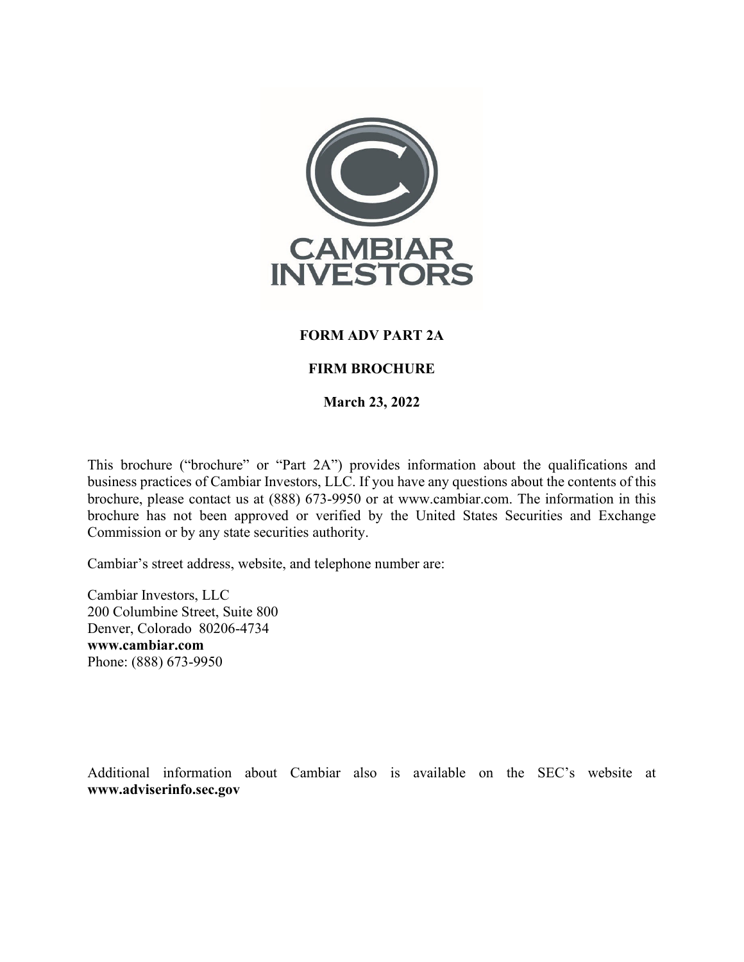

### **FORM ADV PART 2A**

### **FIRM BROCHURE**

**March 23, 2022**

This brochure ("brochure" or "Part 2A") provides information about the qualifications and business practices of Cambiar Investors, LLC. If you have any questions about the contents of this brochure, please contact us at (888) 673-9950 or at www.cambiar.com. The information in this brochure has not been approved or verified by the United States Securities and Exchange Commission or by any state securities authority.

Cambiar's street address, website, and telephone number are:

Cambiar Investors, LLC 200 Columbine Street, Suite 800 Denver, Colorado 80206-4734 **www.cambiar.com** Phone: (888) 673-9950

Additional information about Cambiar also is available on the SEC's website at **www.adviserinfo.sec.gov**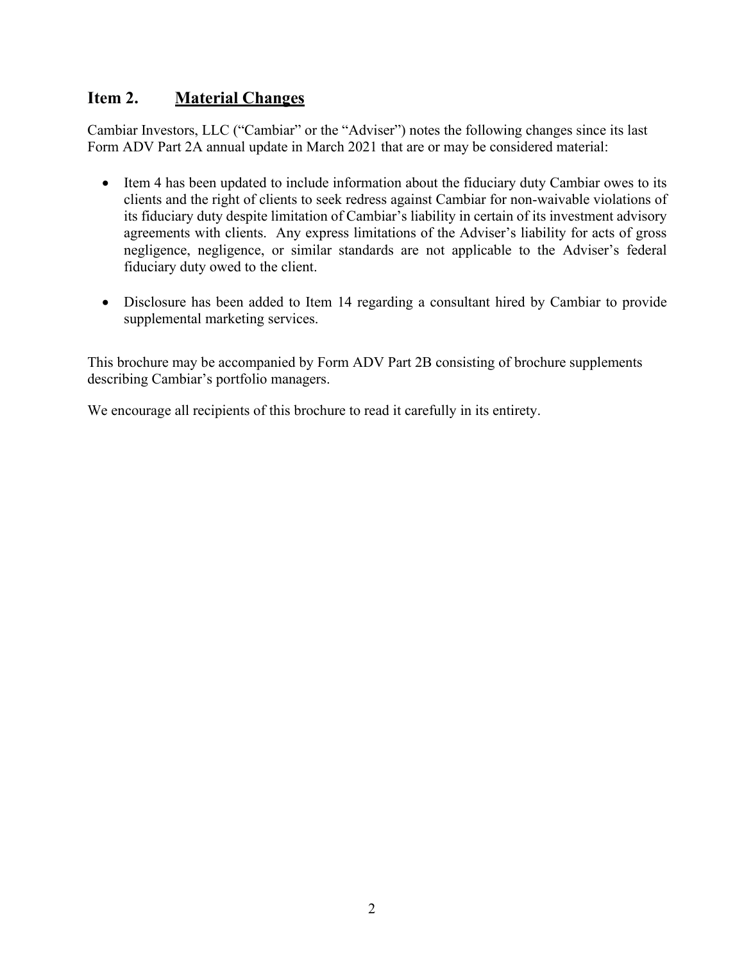# <span id="page-3-0"></span>**Item 2. Material Changes**

Cambiar Investors, LLC ("Cambiar" or the "Adviser") notes the following changes since its last Form ADV Part 2A annual update in March 2021 that are or may be considered material:

- Item 4 has been updated to include information about the fiduciary duty Cambiar owes to its clients and the right of clients to seek redress against Cambiar for non-waivable violations of its fiduciary duty despite limitation of Cambiar's liability in certain of its investment advisory agreements with clients. Any express limitations of the Adviser's liability for acts of gross negligence, negligence, or similar standards are not applicable to the Adviser's federal fiduciary duty owed to the client.
- Disclosure has been added to Item 14 regarding a consultant hired by Cambiar to provide supplemental marketing services.

This brochure may be accompanied by Form ADV Part 2B consisting of brochure supplements describing Cambiar's portfolio managers.

We encourage all recipients of this brochure to read it carefully in its entirety.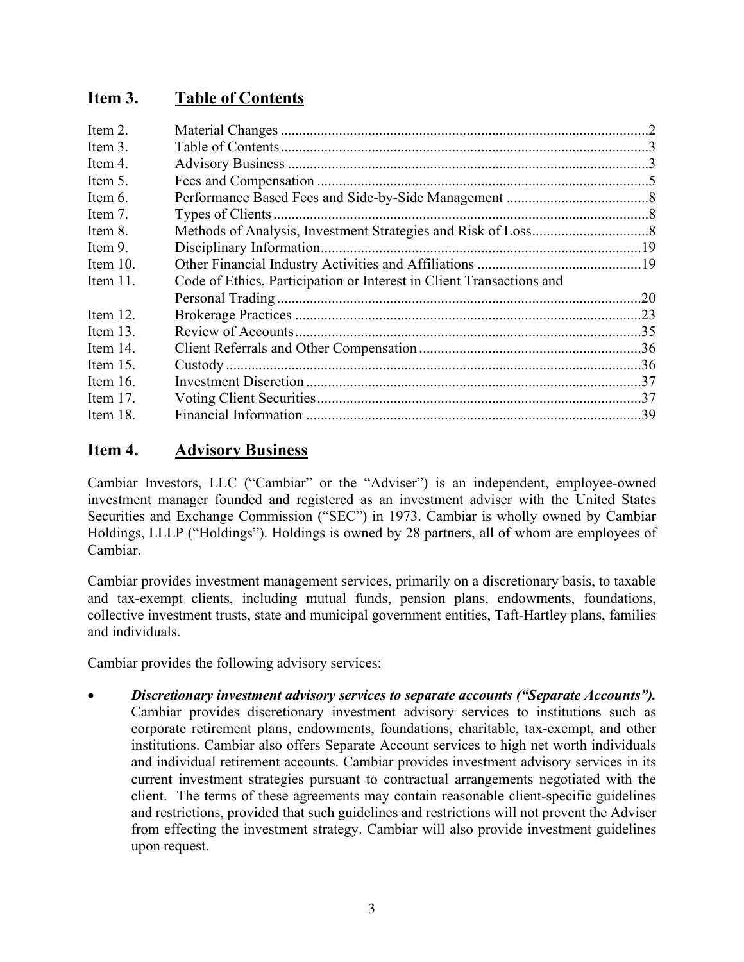# <span id="page-4-0"></span>**Item 3. Table of Contents**

| Code of Ethics, Participation or Interest in Client Transactions and |  |
|----------------------------------------------------------------------|--|
|                                                                      |  |
|                                                                      |  |
|                                                                      |  |
|                                                                      |  |
|                                                                      |  |
|                                                                      |  |
|                                                                      |  |
|                                                                      |  |
|                                                                      |  |

# <span id="page-4-1"></span>**Item 4. Advisory Business**

Cambiar Investors, LLC ("Cambiar" or the "Adviser") is an independent, employee-owned investment manager founded and registered as an investment adviser with the United States Securities and Exchange Commission ("SEC") in 1973. Cambiar is wholly owned by Cambiar Holdings, LLLP ("Holdings"). Holdings is owned by 28 partners, all of whom are employees of Cambiar.

Cambiar provides investment management services, primarily on a discretionary basis, to taxable and tax-exempt clients, including mutual funds, pension plans, endowments, foundations, collective investment trusts, state and municipal government entities, Taft-Hartley plans, families and individuals.

Cambiar provides the following advisory services:

• *Discretionary investment advisory services to separate accounts ("Separate Accounts").*  Cambiar provides discretionary investment advisory services to institutions such as corporate retirement plans, endowments, foundations, charitable, tax-exempt, and other institutions. Cambiar also offers Separate Account services to high net worth individuals and individual retirement accounts. Cambiar provides investment advisory services in its current investment strategies pursuant to contractual arrangements negotiated with the client. The terms of these agreements may contain reasonable client-specific guidelines and restrictions, provided that such guidelines and restrictions will not prevent the Adviser from effecting the investment strategy. Cambiar will also provide investment guidelines upon request.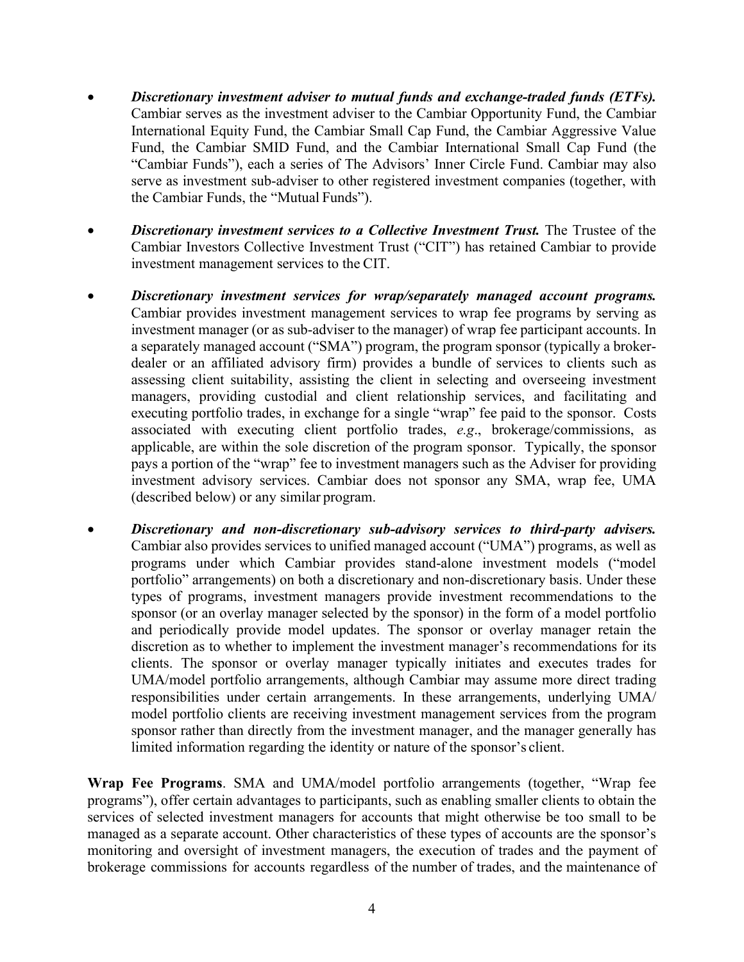- *Discretionary investment adviser to mutual funds and exchange-traded funds (ETFs).* Cambiar serves as the investment adviser to the Cambiar Opportunity Fund, the Cambiar International Equity Fund, the Cambiar Small Cap Fund, the Cambiar Aggressive Value Fund, the Cambiar SMID Fund, and the Cambiar International Small Cap Fund (the "Cambiar Funds"), each a series of The Advisors' Inner Circle Fund. Cambiar may also serve as investment sub-adviser to other registered investment companies (together, with the Cambiar Funds, the "Mutual Funds").
- *Discretionary investment services to a Collective Investment Trust.* **The Trustee of the** Cambiar Investors Collective Investment Trust ("CIT") has retained Cambiar to provide investment management services to the CIT.
- *Discretionary investment services for wrap/separately managed account programs.*  Cambiar provides investment management services to wrap fee programs by serving as investment manager (or as sub-adviser to the manager) of wrap fee participant accounts. In a separately managed account ("SMA") program, the program sponsor (typically a brokerdealer or an affiliated advisory firm) provides a bundle of services to clients such as assessing client suitability, assisting the client in selecting and overseeing investment managers, providing custodial and client relationship services, and facilitating and executing portfolio trades, in exchange for a single "wrap" fee paid to the sponsor. Costs associated with executing client portfolio trades, *e.g*., brokerage/commissions, as applicable, are within the sole discretion of the program sponsor. Typically, the sponsor pays a portion of the "wrap" fee to investment managers such as the Adviser for providing investment advisory services. Cambiar does not sponsor any SMA, wrap fee, UMA (described below) or any similar program.
- *Discretionary and non-discretionary sub-advisory services to third-party advisers.*  Cambiar also provides services to unified managed account ("UMA") programs, as well as programs under which Cambiar provides stand-alone investment models ("model portfolio" arrangements) on both a discretionary and non-discretionary basis. Under these types of programs, investment managers provide investment recommendations to the sponsor (or an overlay manager selected by the sponsor) in the form of a model portfolio and periodically provide model updates. The sponsor or overlay manager retain the discretion as to whether to implement the investment manager's recommendations for its clients. The sponsor or overlay manager typically initiates and executes trades for UMA/model portfolio arrangements, although Cambiar may assume more direct trading responsibilities under certain arrangements. In these arrangements, underlying UMA/ model portfolio clients are receiving investment management services from the program sponsor rather than directly from the investment manager, and the manager generally has limited information regarding the identity or nature of the sponsor's client.

**Wrap Fee Programs**. SMA and UMA/model portfolio arrangements (together, "Wrap fee programs"), offer certain advantages to participants, such as enabling smaller clients to obtain the services of selected investment managers for accounts that might otherwise be too small to be managed as a separate account. Other characteristics of these types of accounts are the sponsor's monitoring and oversight of investment managers, the execution of trades and the payment of brokerage commissions for accounts regardless of the number of trades, and the maintenance of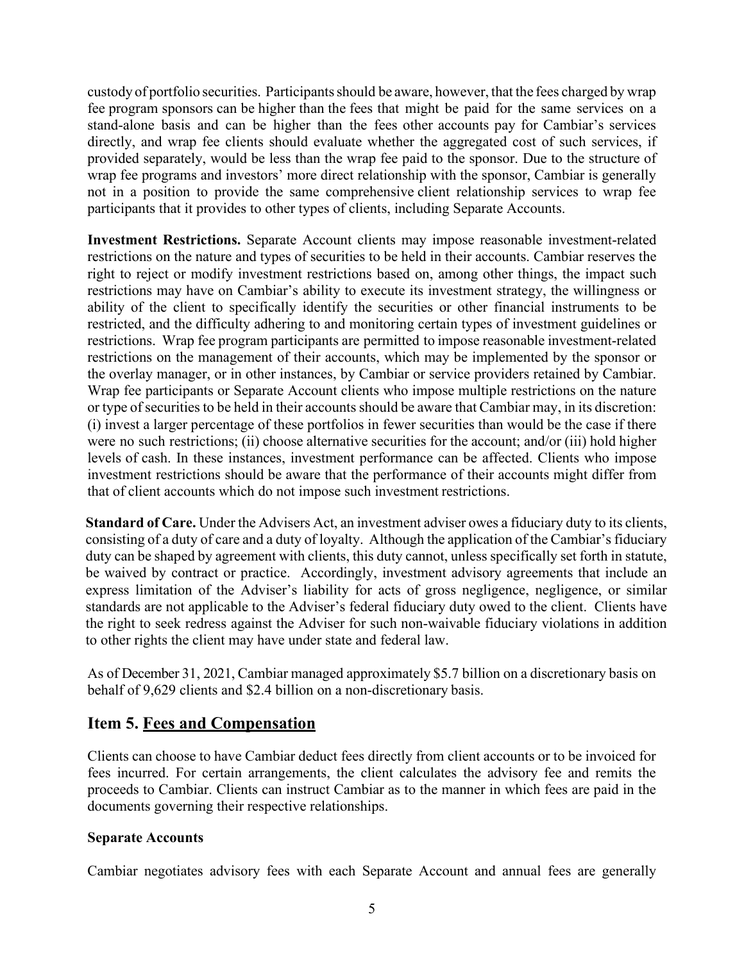custody of portfolio securities. Participantsshould be aware, however, that the fees charged by wrap fee program sponsors can be higher than the fees that might be paid for the same services on a stand-alone basis and can be higher than the fees other accounts pay for Cambiar's services directly, and wrap fee clients should evaluate whether the aggregated cost of such services, if provided separately, would be less than the wrap fee paid to the sponsor. Due to the structure of wrap fee programs and investors' more direct relationship with the sponsor, Cambiar is generally not in a position to provide the same comprehensive client relationship services to wrap fee participants that it provides to other types of clients, including Separate Accounts.

**Investment Restrictions.** Separate Account clients may impose reasonable investment-related restrictions on the nature and types of securities to be held in their accounts. Cambiar reserves the right to reject or modify investment restrictions based on, among other things, the impact such restrictions may have on Cambiar's ability to execute its investment strategy, the willingness or ability of the client to specifically identify the securities or other financial instruments to be restricted, and the difficulty adhering to and monitoring certain types of investment guidelines or restrictions. Wrap fee program participants are permitted to impose reasonable investment-related restrictions on the management of their accounts, which may be implemented by the sponsor or the overlay manager, or in other instances, by Cambiar or service providers retained by Cambiar. Wrap fee participants or Separate Account clients who impose multiple restrictions on the nature or type of securities to be held in their accounts should be aware that Cambiar may, in its discretion: (i) invest a larger percentage of these portfolios in fewer securities than would be the case if there were no such restrictions; (ii) choose alternative securities for the account; and/or (iii) hold higher levels of cash. In these instances, investment performance can be affected. Clients who impose investment restrictions should be aware that the performance of their accounts might differ from that of client accounts which do not impose such investment restrictions.

**Standard of Care.** Under the Advisers Act, an investment adviser owes a fiduciary duty to its clients, consisting of a duty of care and a duty of loyalty. Although the application of the Cambiar's fiduciary duty can be shaped by agreement with clients, this duty cannot, unless specifically set forth in statute, be waived by contract or practice. Accordingly, investment advisory agreements that include an express limitation of the Adviser's liability for acts of gross negligence, negligence, or similar standards are not applicable to the Adviser's federal fiduciary duty owed to the client. Clients have the right to seek redress against the Adviser for such non-waivable fiduciary violations in addition to other rights the client may have under state and federal law.

As of December 31, 2021, Cambiar managed approximately \$5.7 billion on a discretionary basis on behalf of 9,629 clients and \$2.4 billion on a non-discretionary basis.

### <span id="page-6-0"></span>**Item 5. Fees and Compensation**

Clients can choose to have Cambiar deduct fees directly from client accounts or to be invoiced for fees incurred. For certain arrangements, the client calculates the advisory fee and remits the proceeds to Cambiar. Clients can instruct Cambiar as to the manner in which fees are paid in the documents governing their respective relationships.

### **Separate Accounts**

Cambiar negotiates advisory fees with each Separate Account and annual fees are generally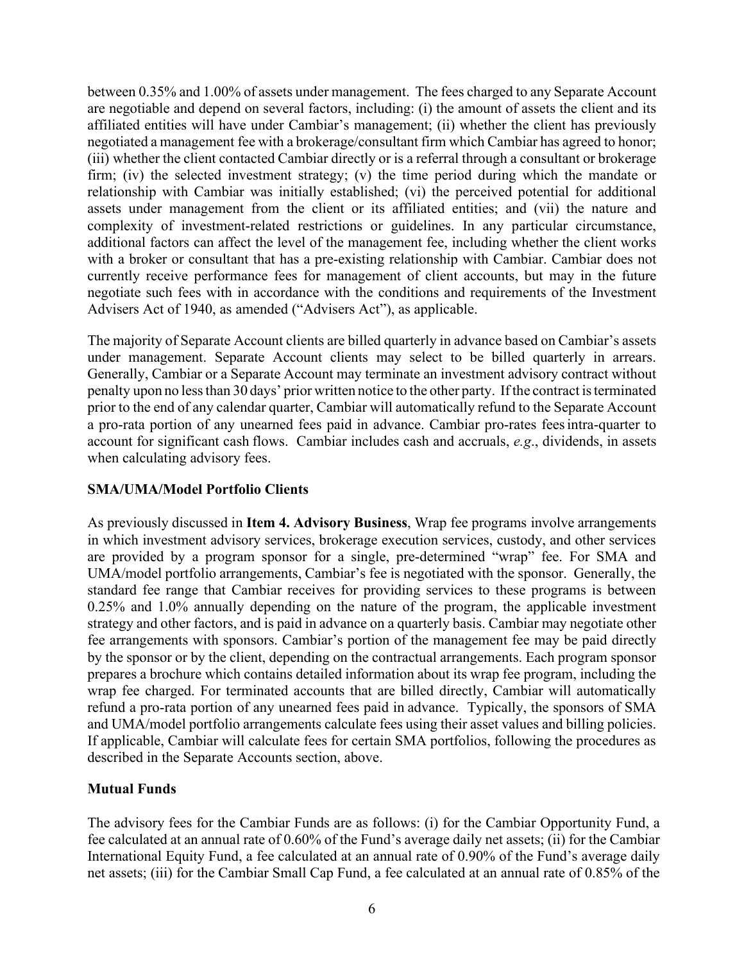between 0.35% and 1.00% of assets under management. The fees charged to any Separate Account are negotiable and depend on several factors, including: (i) the amount of assets the client and its affiliated entities will have under Cambiar's management; (ii) whether the client has previously negotiated a management fee with a brokerage/consultant firm which Cambiar has agreed to honor; (iii) whether the client contacted Cambiar directly or is a referral through a consultant or brokerage firm; (iv) the selected investment strategy; (v) the time period during which the mandate or relationship with Cambiar was initially established; (vi) the perceived potential for additional assets under management from the client or its affiliated entities; and (vii) the nature and complexity of investment-related restrictions or guidelines. In any particular circumstance, additional factors can affect the level of the management fee, including whether the client works with a broker or consultant that has a pre-existing relationship with Cambiar. Cambiar does not currently receive performance fees for management of client accounts, but may in the future negotiate such fees with in accordance with the conditions and requirements of the Investment Advisers Act of 1940, as amended ("Advisers Act"), as applicable.

The majority of Separate Account clients are billed quarterly in advance based on Cambiar's assets under management. Separate Account clients may select to be billed quarterly in arrears. Generally, Cambiar or a Separate Account may terminate an investment advisory contract without penalty upon no less than 30 days' prior written notice to the other party. If the contract is terminated prior to the end of any calendar quarter, Cambiar will automatically refund to the Separate Account a pro-rata portion of any unearned fees paid in advance. Cambiar pro-rates feesintra-quarter to account for significant cash flows. Cambiar includes cash and accruals, *e.g*., dividends, in assets when calculating advisory fees.

### **SMA/UMA/Model Portfolio Clients**

As previously discussed in **Item 4. Advisory Business**, Wrap fee programs involve arrangements in which investment advisory services, brokerage execution services, custody, and other services are provided by a program sponsor for a single, pre-determined "wrap" fee. For SMA and UMA/model portfolio arrangements, Cambiar's fee is negotiated with the sponsor. Generally, the standard fee range that Cambiar receives for providing services to these programs is between 0.25% and 1.0% annually depending on the nature of the program, the applicable investment strategy and other factors, and is paid in advance on a quarterly basis. Cambiar may negotiate other fee arrangements with sponsors. Cambiar's portion of the management fee may be paid directly by the sponsor or by the client, depending on the contractual arrangements. Each program sponsor prepares a brochure which contains detailed information about its wrap fee program, including the wrap fee charged. For terminated accounts that are billed directly, Cambiar will automatically refund a pro-rata portion of any unearned fees paid in advance. Typically, the sponsors of SMA and UMA/model portfolio arrangements calculate fees using their asset values and billing policies. If applicable, Cambiar will calculate fees for certain SMA portfolios, following the procedures as described in the Separate Accounts section, above.

### **Mutual Funds**

The advisory fees for the Cambiar Funds are as follows: (i) for the Cambiar Opportunity Fund, a fee calculated at an annual rate of 0.60% of the Fund's average daily net assets; (ii) for the Cambiar International Equity Fund, a fee calculated at an annual rate of 0.90% of the Fund's average daily net assets; (iii) for the Cambiar Small Cap Fund, a fee calculated at an annual rate of 0.85% of the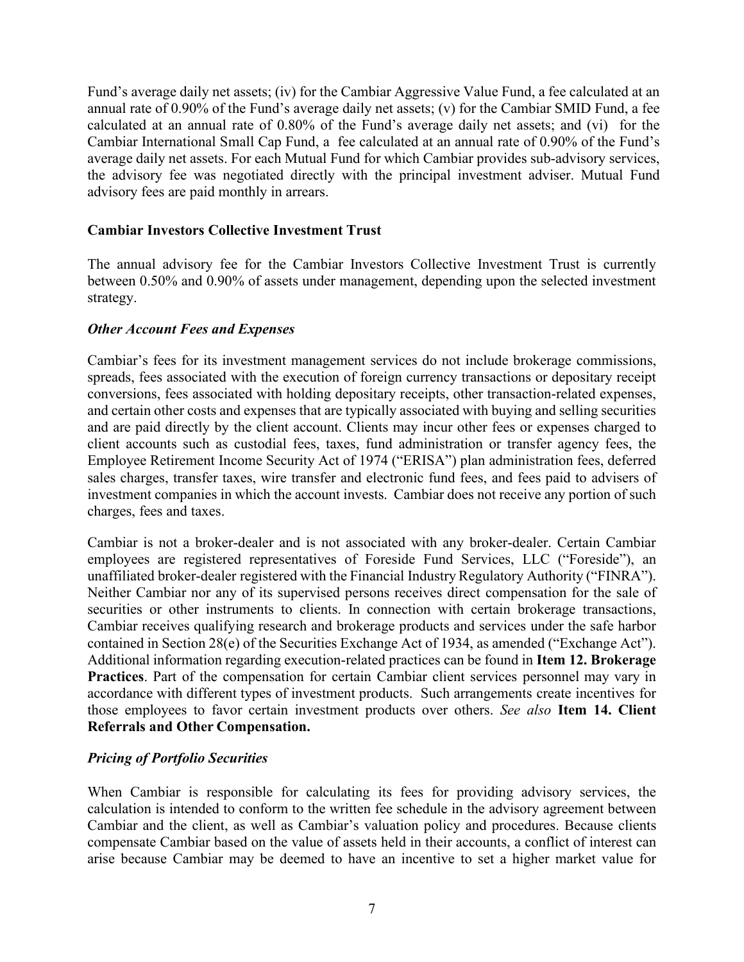Fund's average daily net assets; (iv) for the Cambiar Aggressive Value Fund, a fee calculated at an annual rate of 0.90% of the Fund's average daily net assets; (v) for the Cambiar SMID Fund, a fee calculated at an annual rate of 0.80% of the Fund's average daily net assets; and (vi) for the Cambiar International Small Cap Fund, a fee calculated at an annual rate of 0.90% of the Fund's average daily net assets. For each Mutual Fund for which Cambiar provides sub-advisory services, the advisory fee was negotiated directly with the principal investment adviser. Mutual Fund advisory fees are paid monthly in arrears.

### **Cambiar Investors Collective Investment Trust**

The annual advisory fee for the Cambiar Investors Collective Investment Trust is currently between 0.50% and 0.90% of assets under management, depending upon the selected investment strategy.

### *Other Account Fees and Expenses*

Cambiar's fees for its investment management services do not include brokerage commissions, spreads, fees associated with the execution of foreign currency transactions or depositary receipt conversions, fees associated with holding depositary receipts, other transaction-related expenses, and certain other costs and expenses that are typically associated with buying and selling securities and are paid directly by the client account. Clients may incur other fees or expenses charged to client accounts such as custodial fees, taxes, fund administration or transfer agency fees, the Employee Retirement Income Security Act of 1974 ("ERISA") plan administration fees, deferred sales charges, transfer taxes, wire transfer and electronic fund fees, and fees paid to advisers of investment companies in which the account invests. Cambiar does not receive any portion of such charges, fees and taxes.

Cambiar is not a broker-dealer and is not associated with any broker-dealer. Certain Cambiar employees are registered representatives of Foreside Fund Services, LLC ("Foreside"), an unaffiliated broker-dealer registered with the Financial Industry Regulatory Authority ("FINRA"). Neither Cambiar nor any of its supervised persons receives direct compensation for the sale of securities or other instruments to clients. In connection with certain brokerage transactions, Cambiar receives qualifying research and brokerage products and services under the safe harbor contained in Section 28(e) of the Securities Exchange Act of 1934, as amended ("Exchange Act"). Additional information regarding execution-related practices can be found in **Item 12. Brokerage Practices**. Part of the compensation for certain Cambiar client services personnel may vary in accordance with different types of investment products. Such arrangements create incentives for those employees to favor certain investment products over others. *See also* **Item 14. Client Referrals and Other Compensation.**

### *Pricing of Portfolio Securities*

When Cambiar is responsible for calculating its fees for providing advisory services, the calculation is intended to conform to the written fee schedule in the advisory agreement between Cambiar and the client, as well as Cambiar's valuation policy and procedures. Because clients compensate Cambiar based on the value of assets held in their accounts, a conflict of interest can arise because Cambiar may be deemed to have an incentive to set a higher market value for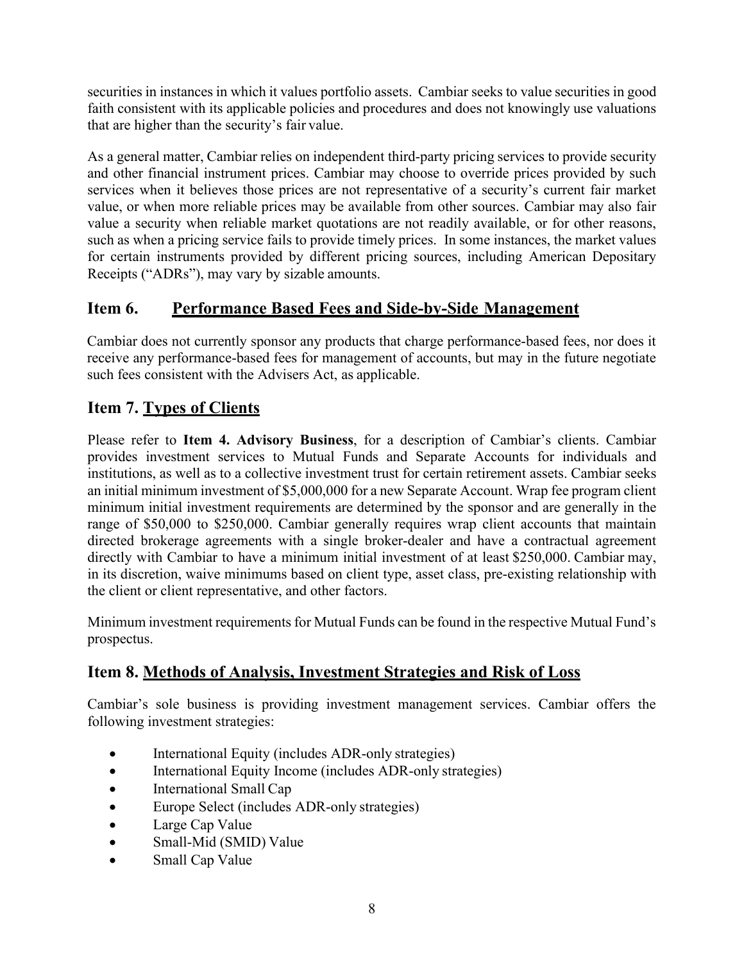securities in instances in which it values portfolio assets. Cambiar seeks to value securities in good faith consistent with its applicable policies and procedures and does not knowingly use valuations that are higher than the security's fair value.

As a general matter, Cambiar relies on independent third-party pricing services to provide security and other financial instrument prices. Cambiar may choose to override prices provided by such services when it believes those prices are not representative of a security's current fair market value, or when more reliable prices may be available from other sources. Cambiar may also fair value a security when reliable market quotations are not readily available, or for other reasons, such as when a pricing service fails to provide timely prices. In some instances, the market values for certain instruments provided by different pricing sources, including American Depositary Receipts ("ADRs"), may vary by sizable amounts.

# <span id="page-9-0"></span>**Item 6. Performance Based Fees and Side-by-Side Management**

Cambiar does not currently sponsor any products that charge performance-based fees, nor does it receive any performance-based fees for management of accounts, but may in the future negotiate such fees consistent with the Advisers Act, as applicable.

# <span id="page-9-1"></span>**Item 7. Types of Clients**

Please refer to **Item 4. Advisory Business**, for a description of Cambiar's clients. Cambiar provides investment services to Mutual Funds and Separate Accounts for individuals and institutions, as well as to a collective investment trust for certain retirement assets. Cambiar seeks an initial minimum investment of \$5,000,000 for a new Separate Account. Wrap fee program client minimum initial investment requirements are determined by the sponsor and are generally in the range of \$50,000 to \$250,000. Cambiar generally requires wrap client accounts that maintain directed brokerage agreements with a single broker-dealer and have a contractual agreement directly with Cambiar to have a minimum initial investment of at least \$250,000. Cambiar may, in its discretion, waive minimums based on client type, asset class, pre-existing relationship with the client or client representative, and other factors.

Minimum investment requirements for Mutual Funds can be found in the respective Mutual Fund's prospectus.

# <span id="page-9-2"></span>**Item 8. Methods of Analysis, Investment Strategies and Risk of Loss**

Cambiar's sole business is providing investment management services. Cambiar offers the following investment strategies:

- International Equity (includes ADR-only strategies)
- International Equity Income (includes ADR-only strategies)
- International Small Cap
- Europe Select (includes ADR-only strategies)
- Large Cap Value
- Small-Mid (SMID) Value
- Small Cap Value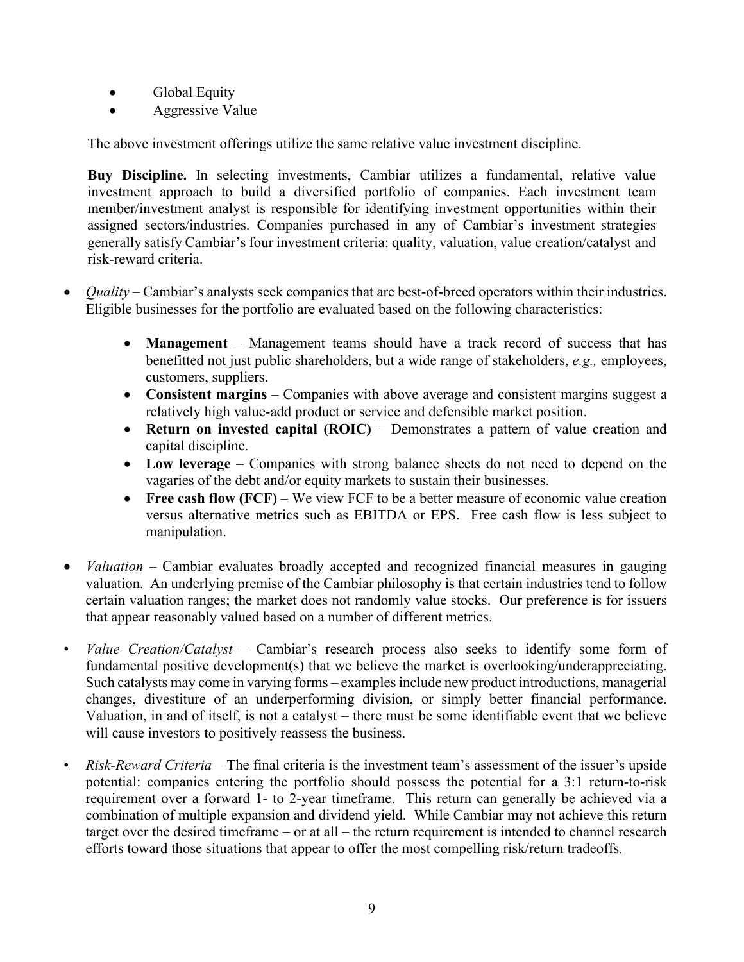- Global Equity
- Aggressive Value

The above investment offerings utilize the same relative value investment discipline.

**Buy Discipline.** In selecting investments, Cambiar utilizes a fundamental, relative value investment approach to build a diversified portfolio of companies. Each investment team member/investment analyst is responsible for identifying investment opportunities within their assigned sectors/industries. Companies purchased in any of Cambiar's investment strategies generally satisfy Cambiar's four investment criteria: quality, valuation, value creation/catalyst and risk-reward criteria.

- *Quality* Cambiar's analysts seek companies that are best-of-breed operators within their industries. Eligible businesses for the portfolio are evaluated based on the following characteristics:
	- **Management** Management teams should have a track record of success that has benefitted not just public shareholders, but a wide range of stakeholders, *e.g.,* employees, customers, suppliers.
	- **Consistent margins** Companies with above average and consistent margins suggest a relatively high value-add product or service and defensible market position.
	- **Return on invested capital (ROIC)** Demonstrates a pattern of value creation and capital discipline.
	- **Low leverage** Companies with strong balance sheets do not need to depend on the vagaries of the debt and/or equity markets to sustain their businesses.
	- **Free cash flow (FCF)** We view FCF to be a better measure of economic value creation versus alternative metrics such as EBITDA or EPS. Free cash flow is less subject to manipulation.
- *Valuation* Cambiar evaluates broadly accepted and recognized financial measures in gauging valuation. An underlying premise of the Cambiar philosophy is that certain industries tend to follow certain valuation ranges; the market does not randomly value stocks. Our preference is for issuers that appear reasonably valued based on a number of different metrics.
- *Value Creation/Catalyst* Cambiar's research process also seeks to identify some form of fundamental positive development(s) that we believe the market is overlooking/underappreciating. Such catalysts may come in varying forms – examples include new product introductions, managerial changes, divestiture of an underperforming division, or simply better financial performance. Valuation, in and of itself, is not a catalyst – there must be some identifiable event that we believe will cause investors to positively reassess the business.
- *Risk-Reward Criteria* The final criteria is the investment team's assessment of the issuer's upside potential: companies entering the portfolio should possess the potential for a 3:1 return-to-risk requirement over a forward 1- to 2-year timeframe. This return can generally be achieved via a combination of multiple expansion and dividend yield. While Cambiar may not achieve this return target over the desired timeframe – or at all – the return requirement is intended to channel research efforts toward those situations that appear to offer the most compelling risk/return tradeoffs.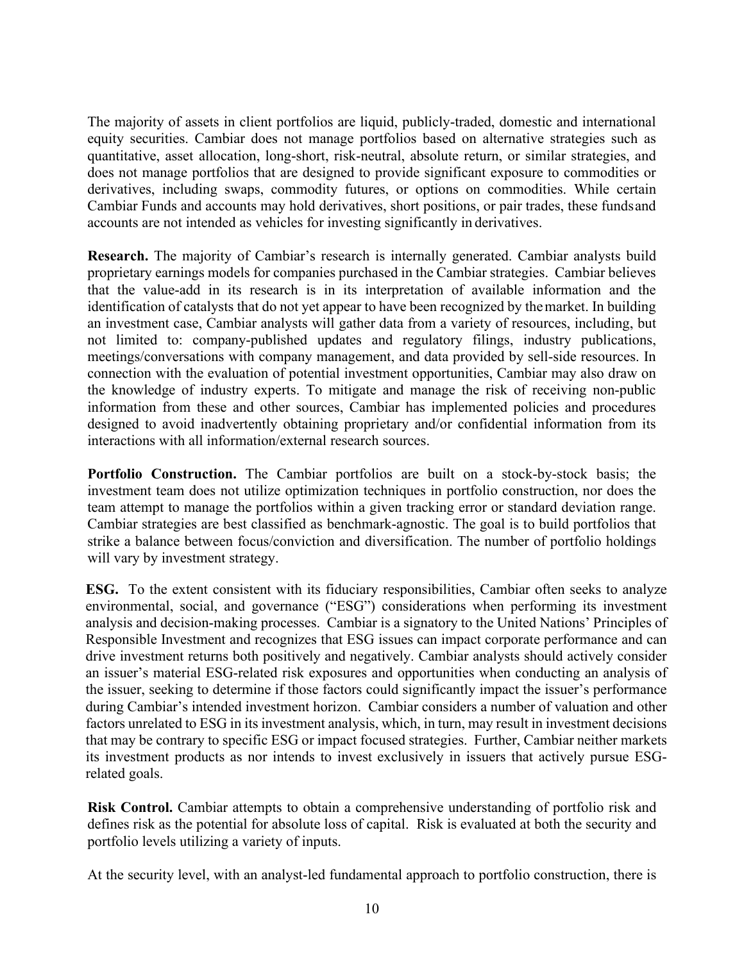The majority of assets in client portfolios are liquid, publicly-traded, domestic and international equity securities. Cambiar does not manage portfolios based on alternative strategies such as quantitative, asset allocation, long-short, risk-neutral, absolute return, or similar strategies, and does not manage portfolios that are designed to provide significant exposure to commodities or derivatives, including swaps, commodity futures, or options on commodities. While certain Cambiar Funds and accounts may hold derivatives, short positions, or pair trades, these fundsand accounts are not intended as vehicles for investing significantly in derivatives.

**Research.** The majority of Cambiar's research is internally generated. Cambiar analysts build proprietary earnings models for companies purchased in the Cambiar strategies. Cambiar believes that the value-add in its research is in its interpretation of available information and the identification of catalysts that do not yet appear to have been recognized by themarket. In building an investment case, Cambiar analysts will gather data from a variety of resources, including, but not limited to: company-published updates and regulatory filings, industry publications, meetings/conversations with company management, and data provided by sell-side resources. In connection with the evaluation of potential investment opportunities, Cambiar may also draw on the knowledge of industry experts. To mitigate and manage the risk of receiving non-public information from these and other sources, Cambiar has implemented policies and procedures designed to avoid inadvertently obtaining proprietary and/or confidential information from its interactions with all information/external research sources.

**Portfolio Construction.** The Cambiar portfolios are built on a stock-by-stock basis; the investment team does not utilize optimization techniques in portfolio construction, nor does the team attempt to manage the portfolios within a given tracking error or standard deviation range. Cambiar strategies are best classified as benchmark-agnostic. The goal is to build portfolios that strike a balance between focus/conviction and diversification. The number of portfolio holdings will vary by investment strategy.

**ESG.** To the extent consistent with its fiduciary responsibilities, Cambiar often seeks to analyze environmental, social, and governance ("ESG") considerations when performing its investment analysis and decision-making processes. Cambiar is a signatory to the United Nations' Principles of Responsible Investment and recognizes that ESG issues can impact corporate performance and can drive investment returns both positively and negatively. Cambiar analysts should actively consider an issuer's material ESG-related risk exposures and opportunities when conducting an analysis of the issuer, seeking to determine if those factors could significantly impact the issuer's performance during Cambiar's intended investment horizon. Cambiar considers a number of valuation and other factors unrelated to ESG in its investment analysis, which, in turn, may result in investment decisions that may be contrary to specific ESG or impact focused strategies. Further, Cambiar neither markets its investment products as nor intends to invest exclusively in issuers that actively pursue ESGrelated goals.

**Risk Control.** Cambiar attempts to obtain a comprehensive understanding of portfolio risk and defines risk as the potential for absolute loss of capital. Risk is evaluated at both the security and portfolio levels utilizing a variety of inputs.

At the security level, with an analyst-led fundamental approach to portfolio construction, there is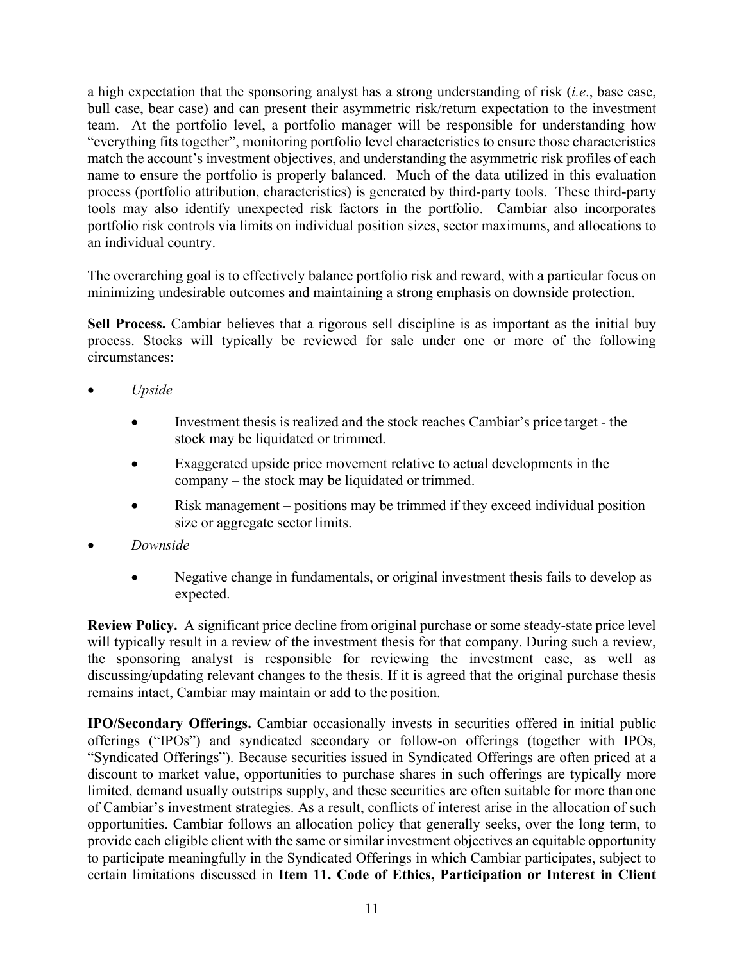a high expectation that the sponsoring analyst has a strong understanding of risk (*i.e*., base case, bull case, bear case) and can present their asymmetric risk/return expectation to the investment team. At the portfolio level, a portfolio manager will be responsible for understanding how "everything fits together", monitoring portfolio level characteristics to ensure those characteristics match the account's investment objectives, and understanding the asymmetric risk profiles of each name to ensure the portfolio is properly balanced. Much of the data utilized in this evaluation process (portfolio attribution, characteristics) is generated by third-party tools. These third-party tools may also identify unexpected risk factors in the portfolio. Cambiar also incorporates portfolio risk controls via limits on individual position sizes, sector maximums, and allocations to an individual country.

The overarching goal is to effectively balance portfolio risk and reward, with a particular focus on minimizing undesirable outcomes and maintaining a strong emphasis on downside protection.

**Sell Process.** Cambiar believes that a rigorous sell discipline is as important as the initial buy process. Stocks will typically be reviewed for sale under one or more of the following circumstances:

- *Upside*
	- Investment thesis is realized and the stock reaches Cambiar's price target the stock may be liquidated or trimmed.
	- Exaggerated upside price movement relative to actual developments in the company – the stock may be liquidated or trimmed.
	- Risk management positions may be trimmed if they exceed individual position size or aggregate sector limits.
- *Downside*
	- Negative change in fundamentals, or original investment thesis fails to develop as expected.

**Review Policy.** A significant price decline from original purchase or some steady-state price level will typically result in a review of the investment thesis for that company. During such a review, the sponsoring analyst is responsible for reviewing the investment case, as well as discussing/updating relevant changes to the thesis. If it is agreed that the original purchase thesis remains intact, Cambiar may maintain or add to the position.

**IPO/Secondary Offerings.** Cambiar occasionally invests in securities offered in initial public offerings ("IPOs") and syndicated secondary or follow-on offerings (together with IPOs, "Syndicated Offerings"). Because securities issued in Syndicated Offerings are often priced at a discount to market value, opportunities to purchase shares in such offerings are typically more limited, demand usually outstrips supply, and these securities are often suitable for more than one of Cambiar's investment strategies. As a result, conflicts of interest arise in the allocation of such opportunities. Cambiar follows an allocation policy that generally seeks, over the long term, to provide each eligible client with the same or similar investment objectives an equitable opportunity to participate meaningfully in the Syndicated Offerings in which Cambiar participates, subject to certain limitations discussed in **Item 11. Code of Ethics, Participation or Interest in Client**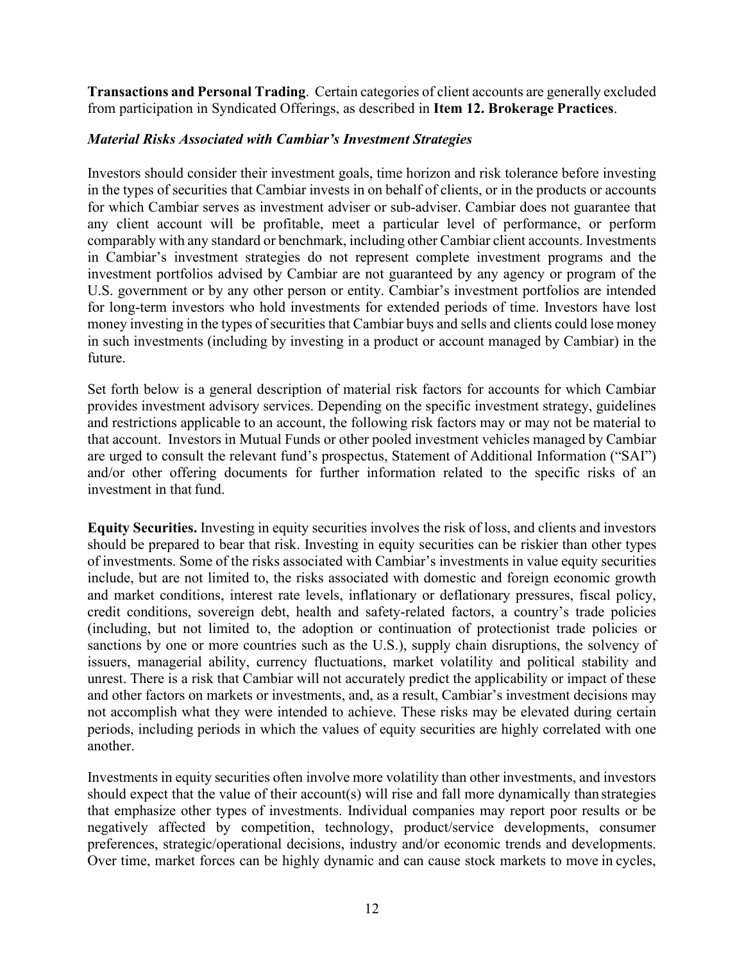**Transactions and Personal Trading**. Certain categories of client accounts are generally excluded from participation in Syndicated Offerings, as described in **Item 12. Brokerage Practices**.

### *Material Risks Associated with Cambiar's Investment Strategies*

Investors should consider their investment goals, time horizon and risk tolerance before investing in the types of securities that Cambiar invests in on behalf of clients, or in the products or accounts for which Cambiar serves as investment adviser or sub-adviser. Cambiar does not guarantee that any client account will be profitable, meet a particular level of performance, or perform comparably with any standard or benchmark, including other Cambiar client accounts. Investments in Cambiar's investment strategies do not represent complete investment programs and the investment portfolios advised by Cambiar are not guaranteed by any agency or program of the U.S. government or by any other person or entity. Cambiar's investment portfolios are intended for long-term investors who hold investments for extended periods of time. Investors have lost money investing in the types of securities that Cambiar buys and sells and clients could lose money in such investments (including by investing in a product or account managed by Cambiar) in the future.

Set forth below is a general description of material risk factors for accounts for which Cambiar provides investment advisory services. Depending on the specific investment strategy, guidelines and restrictions applicable to an account, the following risk factors may or may not be material to that account. Investors in Mutual Funds or other pooled investment vehicles managed by Cambiar are urged to consult the relevant fund's prospectus, Statement of Additional Information ("SAI") and/or other offering documents for further information related to the specific risks of an investment in that fund.

**Equity Securities.** Investing in equity securities involves the risk of loss, and clients and investors should be prepared to bear that risk. Investing in equity securities can be riskier than other types of investments. Some of the risks associated with Cambiar's investments in value equity securities include, but are not limited to, the risks associated with domestic and foreign economic growth and market conditions, interest rate levels, inflationary or deflationary pressures, fiscal policy, credit conditions, sovereign debt, health and safety-related factors, a country's trade policies (including, but not limited to, the adoption or continuation of protectionist trade policies or sanctions by one or more countries such as the U.S.), supply chain disruptions, the solvency of issuers, managerial ability, currency fluctuations, market volatility and political stability and unrest. There is a risk that Cambiar will not accurately predict the applicability or impact of these and other factors on markets or investments, and, as a result, Cambiar's investment decisions may not accomplish what they were intended to achieve. These risks may be elevated during certain periods, including periods in which the values of equity securities are highly correlated with one another.

Investments in equity securities often involve more volatility than other investments, and investors should expect that the value of their account(s) will rise and fall more dynamically than strategies that emphasize other types of investments. Individual companies may report poor results or be negatively affected by competition, technology, product/service developments, consumer preferences, strategic/operational decisions, industry and/or economic trends and developments. Over time, market forces can be highly dynamic and can cause stock markets to move in cycles,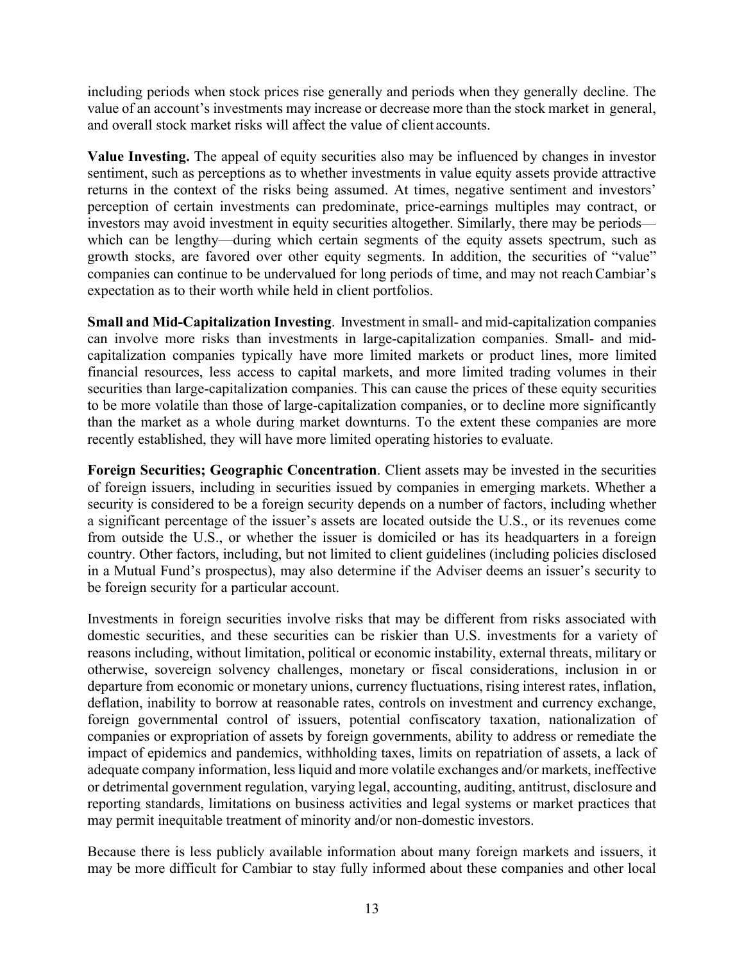including periods when stock prices rise generally and periods when they generally decline. The value of an account's investments may increase or decrease more than the stock market in general, and overall stock market risks will affect the value of client accounts.

**Value Investing.** The appeal of equity securities also may be influenced by changes in investor sentiment, such as perceptions as to whether investments in value equity assets provide attractive returns in the context of the risks being assumed. At times, negative sentiment and investors' perception of certain investments can predominate, price-earnings multiples may contract, or investors may avoid investment in equity securities altogether. Similarly, there may be periods which can be lengthy—during which certain segments of the equity assets spectrum, such as growth stocks, are favored over other equity segments. In addition, the securities of "value" companies can continue to be undervalued for long periods of time, and may not reachCambiar's expectation as to their worth while held in client portfolios.

**Small and Mid-Capitalization Investing**.Investment in small- and mid-capitalization companies can involve more risks than investments in large-capitalization companies. Small- and midcapitalization companies typically have more limited markets or product lines, more limited financial resources, less access to capital markets, and more limited trading volumes in their securities than large-capitalization companies. This can cause the prices of these equity securities to be more volatile than those of large-capitalization companies, or to decline more significantly than the market as a whole during market downturns. To the extent these companies are more recently established, they will have more limited operating histories to evaluate.

**Foreign Securities; Geographic Concentration**. Client assets may be invested in the securities of foreign issuers, including in securities issued by companies in emerging markets. Whether a security is considered to be a foreign security depends on a number of factors, including whether a significant percentage of the issuer's assets are located outside the U.S., or its revenues come from outside the U.S., or whether the issuer is domiciled or has its headquarters in a foreign country. Other factors, including, but not limited to client guidelines (including policies disclosed in a Mutual Fund's prospectus), may also determine if the Adviser deems an issuer's security to be foreign security for a particular account.

Investments in foreign securities involve risks that may be different from risks associated with domestic securities, and these securities can be riskier than U.S. investments for a variety of reasons including, without limitation, political or economic instability, external threats, military or otherwise, sovereign solvency challenges, monetary or fiscal considerations, inclusion in or departure from economic or monetary unions, currency fluctuations, rising interest rates, inflation, deflation, inability to borrow at reasonable rates, controls on investment and currency exchange, foreign governmental control of issuers, potential confiscatory taxation, nationalization of companies or expropriation of assets by foreign governments, ability to address or remediate the impact of epidemics and pandemics, withholding taxes, limits on repatriation of assets, a lack of adequate company information, less liquid and more volatile exchanges and/or markets, ineffective or detrimental government regulation, varying legal, accounting, auditing, antitrust, disclosure and reporting standards, limitations on business activities and legal systems or market practices that may permit inequitable treatment of minority and/or non-domestic investors.

Because there is less publicly available information about many foreign markets and issuers, it may be more difficult for Cambiar to stay fully informed about these companies and other local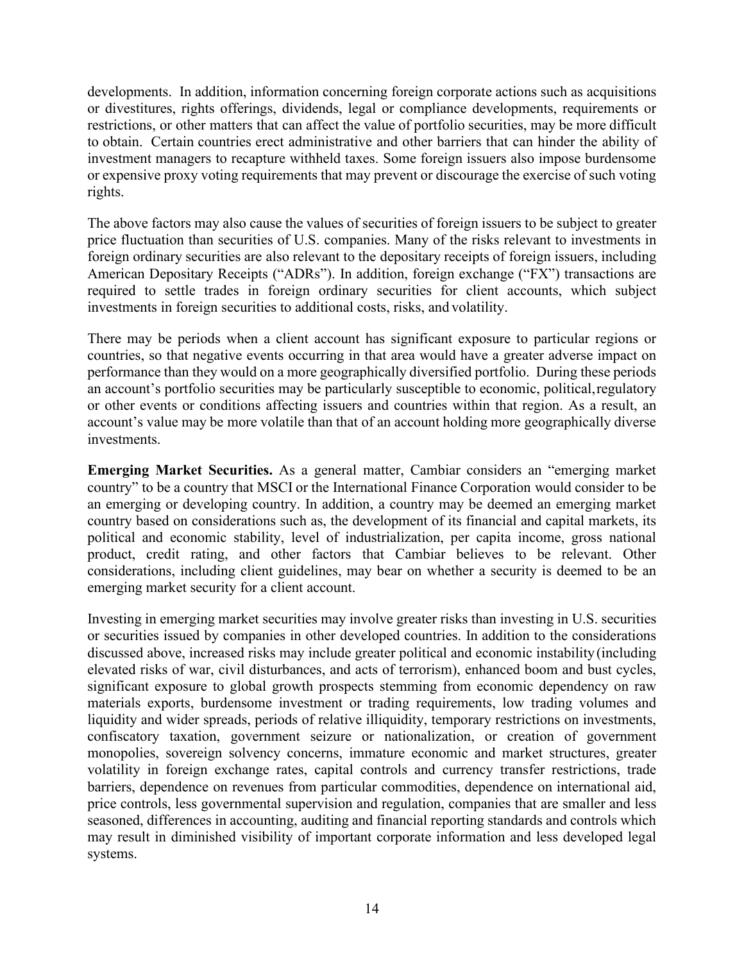developments. In addition, information concerning foreign corporate actions such as acquisitions or divestitures, rights offerings, dividends, legal or compliance developments, requirements or restrictions, or other matters that can affect the value of portfolio securities, may be more difficult to obtain. Certain countries erect administrative and other barriers that can hinder the ability of investment managers to recapture withheld taxes. Some foreign issuers also impose burdensome or expensive proxy voting requirements that may prevent or discourage the exercise of such voting rights.

The above factors may also cause the values of securities of foreign issuers to be subject to greater price fluctuation than securities of U.S. companies. Many of the risks relevant to investments in foreign ordinary securities are also relevant to the depositary receipts of foreign issuers, including American Depositary Receipts ("ADRs"). In addition, foreign exchange ("FX") transactions are required to settle trades in foreign ordinary securities for client accounts, which subject investments in foreign securities to additional costs, risks, and volatility.

There may be periods when a client account has significant exposure to particular regions or countries, so that negative events occurring in that area would have a greater adverse impact on performance than they would on a more geographically diversified portfolio. During these periods an account's portfolio securities may be particularly susceptible to economic, political,regulatory or other events or conditions affecting issuers and countries within that region. As a result, an account's value may be more volatile than that of an account holding more geographically diverse investments.

**Emerging Market Securities.** As a general matter, Cambiar considers an "emerging market country" to be a country that MSCI or the International Finance Corporation would consider to be an emerging or developing country. In addition, a country may be deemed an emerging market country based on considerations such as, the development of its financial and capital markets, its political and economic stability, level of industrialization, per capita income, gross national product, credit rating, and other factors that Cambiar believes to be relevant. Other considerations, including client guidelines, may bear on whether a security is deemed to be an emerging market security for a client account.

Investing in emerging market securities may involve greater risks than investing in U.S. securities or securities issued by companies in other developed countries. In addition to the considerations discussed above, increased risks may include greater political and economic instability (including elevated risks of war, civil disturbances, and acts of terrorism), enhanced boom and bust cycles, significant exposure to global growth prospects stemming from economic dependency on raw materials exports, burdensome investment or trading requirements, low trading volumes and liquidity and wider spreads, periods of relative illiquidity, temporary restrictions on investments, confiscatory taxation, government seizure or nationalization, or creation of government monopolies, sovereign solvency concerns, immature economic and market structures, greater volatility in foreign exchange rates, capital controls and currency transfer restrictions, trade barriers, dependence on revenues from particular commodities, dependence on international aid, price controls, less governmental supervision and regulation, companies that are smaller and less seasoned, differences in accounting, auditing and financial reporting standards and controls which may result in diminished visibility of important corporate information and less developed legal systems.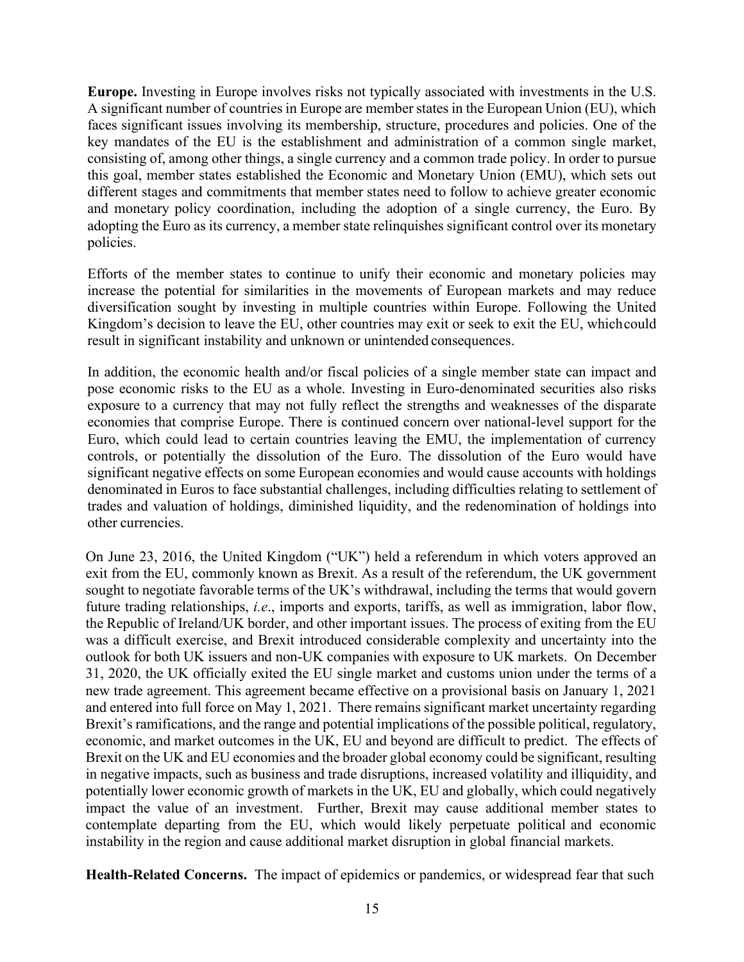**Europe.** Investing in Europe involves risks not typically associated with investments in the U.S. A significant number of countries in Europe are member states in the European Union (EU), which faces significant issues involving its membership, structure, procedures and policies. One of the key mandates of the EU is the establishment and administration of a common single market, consisting of, among other things, a single currency and a common trade policy. In order to pursue this goal, member states established the Economic and Monetary Union (EMU), which sets out different stages and commitments that member states need to follow to achieve greater economic and monetary policy coordination, including the adoption of a single currency, the Euro. By adopting the Euro as its currency, a member state relinquishes significant control over its monetary policies.

Efforts of the member states to continue to unify their economic and monetary policies may increase the potential for similarities in the movements of European markets and may reduce diversification sought by investing in multiple countries within Europe. Following the United Kingdom's decision to leave the EU, other countries may exit or seek to exit the EU, whichcould result in significant instability and unknown or unintended consequences.

In addition, the economic health and/or fiscal policies of a single member state can impact and pose economic risks to the EU as a whole. Investing in Euro-denominated securities also risks exposure to a currency that may not fully reflect the strengths and weaknesses of the disparate economies that comprise Europe. There is continued concern over national-level support for the Euro, which could lead to certain countries leaving the EMU, the implementation of currency controls, or potentially the dissolution of the Euro. The dissolution of the Euro would have significant negative effects on some European economies and would cause accounts with holdings denominated in Euros to face substantial challenges, including difficulties relating to settlement of trades and valuation of holdings, diminished liquidity, and the redenomination of holdings into other currencies.

On June 23, 2016, the United Kingdom ("UK") held a referendum in which voters approved an exit from the EU, commonly known as Brexit. As a result of the referendum, the UK government sought to negotiate favorable terms of the UK's withdrawal, including the terms that would govern future trading relationships, *i.e*., imports and exports, tariffs, as well as immigration, labor flow, the Republic of Ireland/UK border, and other important issues. The process of exiting from the EU was a difficult exercise, and Brexit introduced considerable complexity and uncertainty into the outlook for both UK issuers and non-UK companies with exposure to UK markets. On December 31, 2020, the UK officially exited the EU single market and customs union under the terms of a new trade agreement. This agreement became effective on a provisional basis on January 1, 2021 and entered into full force on May 1, 2021. There remains significant market uncertainty regarding Brexit's ramifications, and the range and potential implications of the possible political, regulatory, economic, and market outcomes in the UK, EU and beyond are difficult to predict. The effects of Brexit on the UK and EU economies and the broader global economy could be significant, resulting in negative impacts, such as business and trade disruptions, increased volatility and illiquidity, and potentially lower economic growth of markets in the UK, EU and globally, which could negatively impact the value of an investment. Further, Brexit may cause additional member states to contemplate departing from the EU, which would likely perpetuate political and economic instability in the region and cause additional market disruption in global financial markets.

**Health-Related Concerns.** The impact of epidemics or pandemics, or widespread fear that such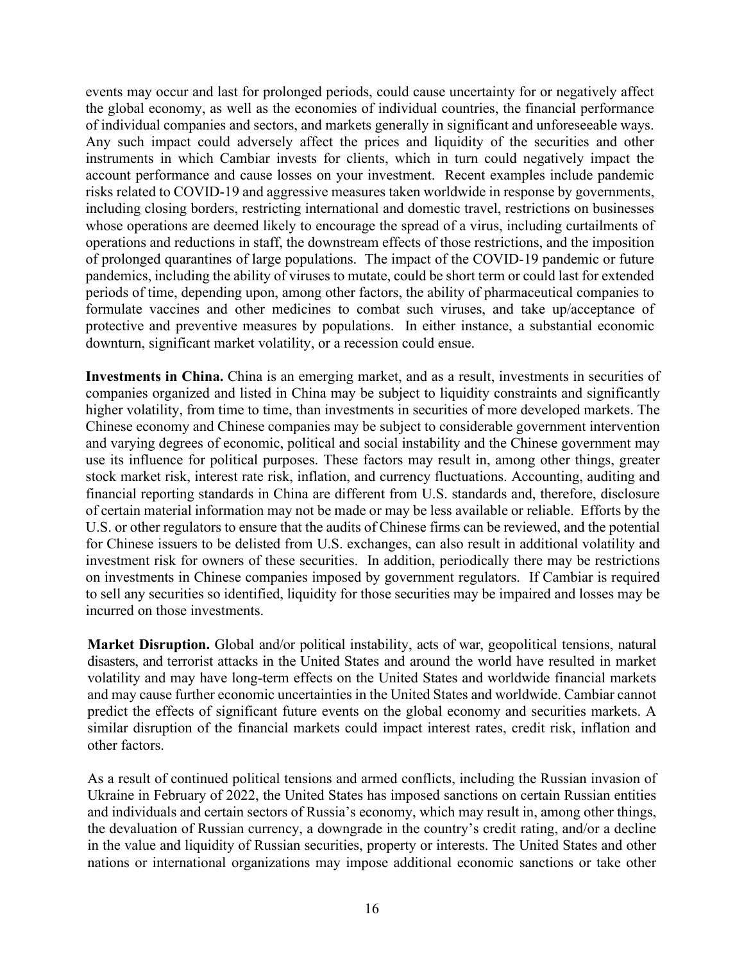events may occur and last for prolonged periods, could cause uncertainty for or negatively affect the global economy, as well as the economies of individual countries, the financial performance of individual companies and sectors, and markets generally in significant and unforeseeable ways. Any such impact could adversely affect the prices and liquidity of the securities and other instruments in which Cambiar invests for clients, which in turn could negatively impact the account performance and cause losses on your investment. Recent examples include pandemic risks related to COVID-19 and aggressive measures taken worldwide in response by governments, including closing borders, restricting international and domestic travel, restrictions on businesses whose operations are deemed likely to encourage the spread of a virus, including curtailments of operations and reductions in staff, the downstream effects of those restrictions, and the imposition of prolonged quarantines of large populations. The impact of the COVID-19 pandemic or future pandemics, including the ability of viruses to mutate, could be short term or could last for extended periods of time, depending upon, among other factors, the ability of pharmaceutical companies to formulate vaccines and other medicines to combat such viruses, and take up/acceptance of protective and preventive measures by populations. In either instance, a substantial economic downturn, significant market volatility, or a recession could ensue.

**Investments in China.** China is an emerging market, and as a result, investments in securities of companies organized and listed in China may be subject to liquidity constraints and significantly higher volatility, from time to time, than investments in securities of more developed markets. The Chinese economy and Chinese companies may be subject to considerable government intervention and varying degrees of economic, political and social instability and the Chinese government may use its influence for political purposes. These factors may result in, among other things, greater stock market risk, interest rate risk, inflation, and currency fluctuations. Accounting, auditing and financial reporting standards in China are different from U.S. standards and, therefore, disclosure of certain material information may not be made or may be less available or reliable. Efforts by the U.S. or other regulators to ensure that the audits of Chinese firms can be reviewed, and the potential for Chinese issuers to be delisted from U.S. exchanges, can also result in additional volatility and investment risk for owners of these securities. In addition, periodically there may be restrictions on investments in Chinese companies imposed by government regulators. If Cambiar is required to sell any securities so identified, liquidity for those securities may be impaired and losses may be incurred on those investments.

**Market Disruption.** Global and/or political instability, acts of war, geopolitical tensions, natural disasters, and terrorist attacks in the United States and around the world have resulted in market volatility and may have long-term effects on the United States and worldwide financial markets and may cause further economic uncertainties in the United States and worldwide. Cambiar cannot predict the effects of significant future events on the global economy and securities markets. A similar disruption of the financial markets could impact interest rates, credit risk, inflation and other factors.

As a result of continued political tensions and armed conflicts, including the Russian invasion of Ukraine in February of 2022, the United States has imposed sanctions on certain Russian entities and individuals and certain sectors of Russia's economy, which may result in, among other things, the devaluation of Russian currency, a downgrade in the country's credit rating, and/or a decline in the value and liquidity of Russian securities, property or interests. The United States and other nations or international organizations may impose additional economic sanctions or take other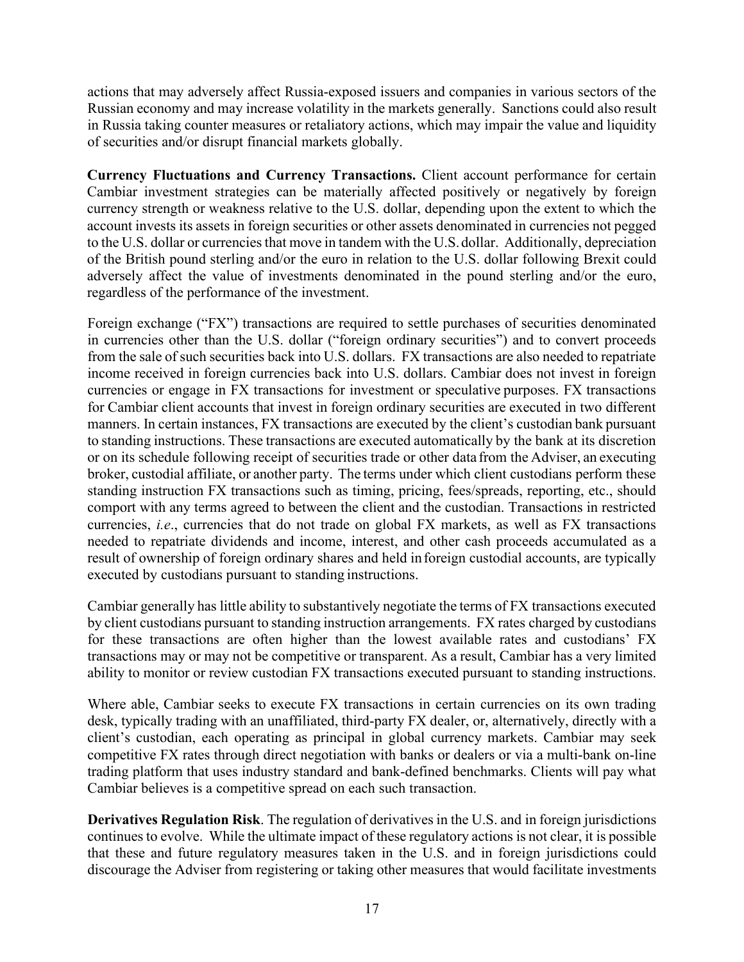actions that may adversely affect Russia-exposed issuers and companies in various sectors of the Russian economy and may increase volatility in the markets generally. Sanctions could also result in Russia taking counter measures or retaliatory actions, which may impair the value and liquidity of securities and/or disrupt financial markets globally.

**Currency Fluctuations and Currency Transactions.** Client account performance for certain Cambiar investment strategies can be materially affected positively or negatively by foreign currency strength or weakness relative to the U.S. dollar, depending upon the extent to which the account invests its assets in foreign securities or other assets denominated in currencies not pegged to the U.S. dollar or currencies that move in tandem with the U.S.dollar. Additionally, depreciation of the British pound sterling and/or the euro in relation to the U.S. dollar following Brexit could adversely affect the value of investments denominated in the pound sterling and/or the euro, regardless of the performance of the investment.

Foreign exchange ("FX") transactions are required to settle purchases of securities denominated in currencies other than the U.S. dollar ("foreign ordinary securities") and to convert proceeds from the sale of such securities back into U.S. dollars. FX transactions are also needed to repatriate income received in foreign currencies back into U.S. dollars. Cambiar does not invest in foreign currencies or engage in FX transactions for investment or speculative purposes. FX transactions for Cambiar client accounts that invest in foreign ordinary securities are executed in two different manners. In certain instances, FX transactions are executed by the client's custodian bank pursuant to standing instructions. These transactions are executed automatically by the bank at its discretion or on its schedule following receipt of securities trade or other data from the Adviser, an executing broker, custodial affiliate, or another party. The terms under which client custodians perform these standing instruction FX transactions such as timing, pricing, fees/spreads, reporting, etc., should comport with any terms agreed to between the client and the custodian. Transactions in restricted currencies, *i.e*., currencies that do not trade on global FX markets, as well as FX transactions needed to repatriate dividends and income, interest, and other cash proceeds accumulated as a result of ownership of foreign ordinary shares and held inforeign custodial accounts, are typically executed by custodians pursuant to standing instructions.

Cambiar generally has little ability to substantively negotiate the terms of FX transactions executed by client custodians pursuant to standing instruction arrangements. FX rates charged by custodians for these transactions are often higher than the lowest available rates and custodians' FX transactions may or may not be competitive or transparent. As a result, Cambiar has a very limited ability to monitor or review custodian FX transactions executed pursuant to standing instructions.

Where able, Cambiar seeks to execute FX transactions in certain currencies on its own trading desk, typically trading with an unaffiliated, third-party FX dealer, or, alternatively, directly with a client's custodian, each operating as principal in global currency markets. Cambiar may seek competitive FX rates through direct negotiation with banks or dealers or via a multi-bank on-line trading platform that uses industry standard and bank-defined benchmarks. Clients will pay what Cambiar believes is a competitive spread on each such transaction.

**Derivatives Regulation Risk**. The regulation of derivatives in the U.S. and in foreign jurisdictions continues to evolve. While the ultimate impact of these regulatory actions is not clear, it is possible that these and future regulatory measures taken in the U.S. and in foreign jurisdictions could discourage the Adviser from registering or taking other measures that would facilitate investments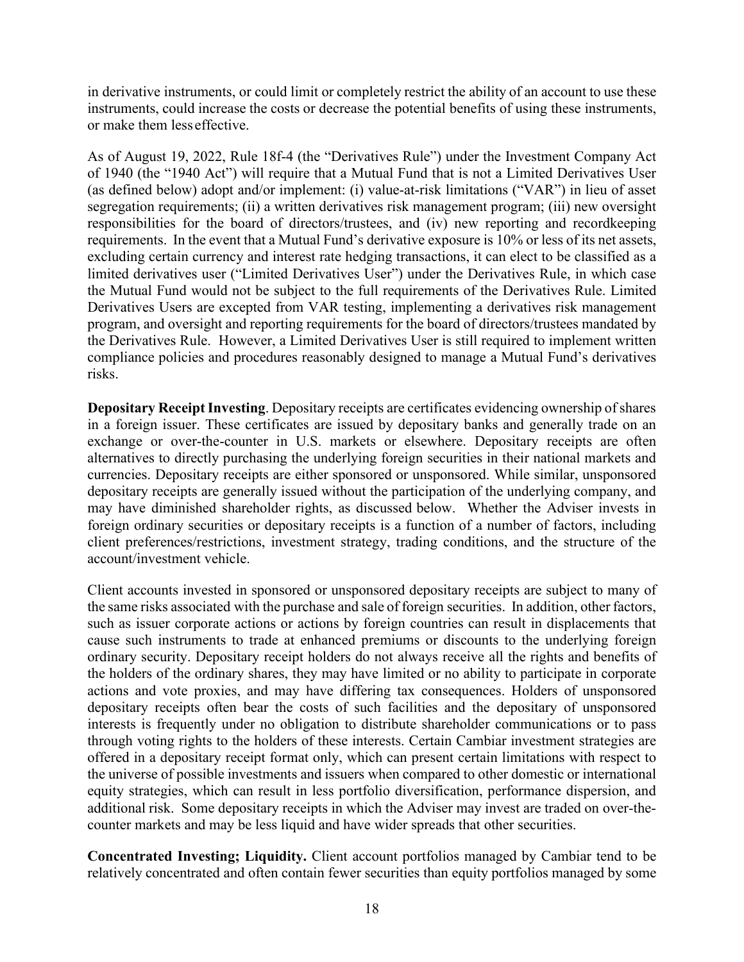in derivative instruments, or could limit or completely restrict the ability of an account to use these instruments, could increase the costs or decrease the potential benefits of using these instruments, or make them less effective.

As of August 19, 2022, Rule 18f-4 (the "Derivatives Rule") under the Investment Company Act of 1940 (the "1940 Act") will require that a Mutual Fund that is not a Limited Derivatives User (as defined below) adopt and/or implement: (i) value-at-risk limitations ("VAR") in lieu of asset segregation requirements; (ii) a written derivatives risk management program; (iii) new oversight responsibilities for the board of directors/trustees, and (iv) new reporting and recordkeeping requirements. In the event that a Mutual Fund's derivative exposure is 10% or less of its net assets, excluding certain currency and interest rate hedging transactions, it can elect to be classified as a limited derivatives user ("Limited Derivatives User") under the Derivatives Rule, in which case the Mutual Fund would not be subject to the full requirements of the Derivatives Rule. Limited Derivatives Users are excepted from VAR testing, implementing a derivatives risk management program, and oversight and reporting requirements for the board of directors/trustees mandated by the Derivatives Rule. However, a Limited Derivatives User is still required to implement written compliance policies and procedures reasonably designed to manage a Mutual Fund's derivatives risks.

**Depositary Receipt Investing.** Depositary receipts are certificates evidencing ownership of shares in a foreign issuer. These certificates are issued by depositary banks and generally trade on an exchange or over-the-counter in U.S. markets or elsewhere. Depositary receipts are often alternatives to directly purchasing the underlying foreign securities in their national markets and currencies. Depositary receipts are either sponsored or unsponsored. While similar, unsponsored depositary receipts are generally issued without the participation of the underlying company, and may have diminished shareholder rights, as discussed below. Whether the Adviser invests in foreign ordinary securities or depositary receipts is a function of a number of factors, including client preferences/restrictions, investment strategy, trading conditions, and the structure of the account/investment vehicle.

Client accounts invested in sponsored or unsponsored depositary receipts are subject to many of the same risks associated with the purchase and sale of foreign securities. In addition, other factors, such as issuer corporate actions or actions by foreign countries can result in displacements that cause such instruments to trade at enhanced premiums or discounts to the underlying foreign ordinary security. Depositary receipt holders do not always receive all the rights and benefits of the holders of the ordinary shares, they may have limited or no ability to participate in corporate actions and vote proxies, and may have differing tax consequences. Holders of unsponsored depositary receipts often bear the costs of such facilities and the depositary of unsponsored interests is frequently under no obligation to distribute shareholder communications or to pass through voting rights to the holders of these interests. Certain Cambiar investment strategies are offered in a depositary receipt format only, which can present certain limitations with respect to the universe of possible investments and issuers when compared to other domestic or international equity strategies, which can result in less portfolio diversification, performance dispersion, and additional risk. Some depositary receipts in which the Adviser may invest are traded on over-thecounter markets and may be less liquid and have wider spreads that other securities.

**Concentrated Investing; Liquidity.** Client account portfolios managed by Cambiar tend to be relatively concentrated and often contain fewer securities than equity portfolios managed by some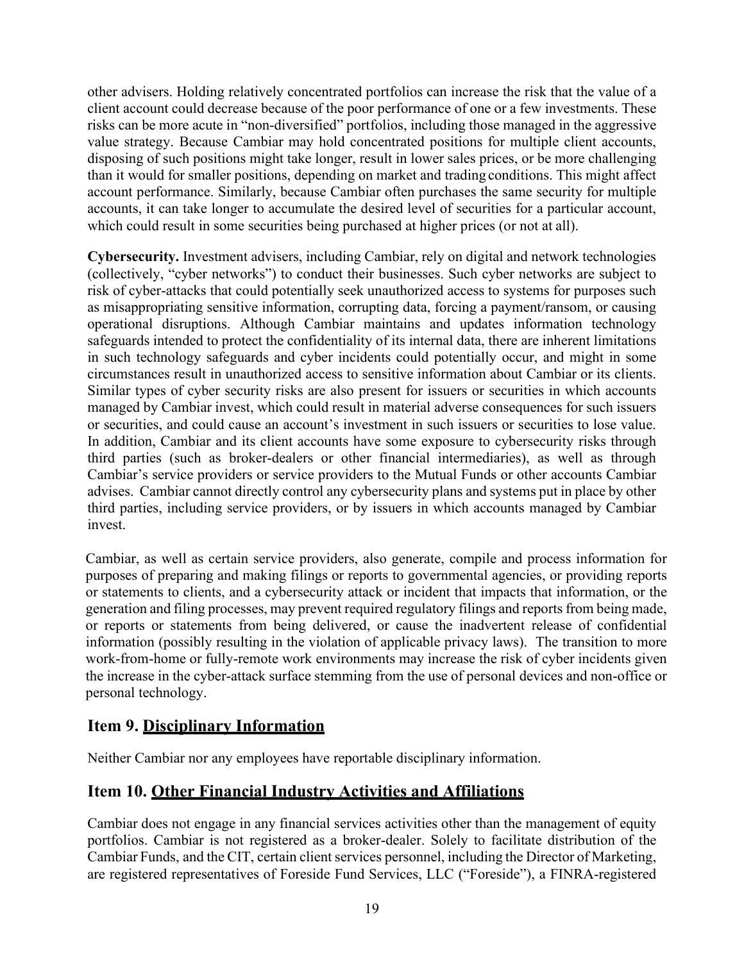other advisers. Holding relatively concentrated portfolios can increase the risk that the value of a client account could decrease because of the poor performance of one or a few investments. These risks can be more acute in "non-diversified" portfolios, including those managed in the aggressive value strategy. Because Cambiar may hold concentrated positions for multiple client accounts, disposing of such positions might take longer, result in lower sales prices, or be more challenging than it would for smaller positions, depending on market and trading conditions. This might affect account performance. Similarly, because Cambiar often purchases the same security for multiple accounts, it can take longer to accumulate the desired level of securities for a particular account, which could result in some securities being purchased at higher prices (or not at all).

**Cybersecurity.** Investment advisers, including Cambiar, rely on digital and network technologies (collectively, "cyber networks") to conduct their businesses. Such cyber networks are subject to risk of cyber-attacks that could potentially seek unauthorized access to systems for purposes such as misappropriating sensitive information, corrupting data, forcing a payment/ransom, or causing operational disruptions. Although Cambiar maintains and updates information technology safeguards intended to protect the confidentiality of its internal data, there are inherent limitations in such technology safeguards and cyber incidents could potentially occur, and might in some circumstances result in unauthorized access to sensitive information about Cambiar or its clients. Similar types of cyber security risks are also present for issuers or securities in which accounts managed by Cambiar invest, which could result in material adverse consequences for such issuers or securities, and could cause an account's investment in such issuers or securities to lose value. In addition, Cambiar and its client accounts have some exposure to cybersecurity risks through third parties (such as broker-dealers or other financial intermediaries), as well as through Cambiar's service providers or service providers to the Mutual Funds or other accounts Cambiar advises. Cambiar cannot directly control any cybersecurity plans and systems put in place by other third parties, including service providers, or by issuers in which accounts managed by Cambiar invest.

Cambiar, as well as certain service providers, also generate, compile and process information for purposes of preparing and making filings or reports to governmental agencies, or providing reports or statements to clients, and a cybersecurity attack or incident that impacts that information, or the generation and filing processes, may prevent required regulatory filings and reports from being made, or reports or statements from being delivered, or cause the inadvertent release of confidential information (possibly resulting in the violation of applicable privacy laws). The transition to more work-from-home or fully-remote work environments may increase the risk of cyber incidents given the increase in the cyber-attack surface stemming from the use of personal devices and non-office or personal technology.

# <span id="page-20-0"></span>**Item 9. Disciplinary Information**

Neither Cambiar nor any employees have reportable disciplinary information.

# <span id="page-20-1"></span>**Item 10. Other Financial Industry Activities and Affiliations**

Cambiar does not engage in any financial services activities other than the management of equity portfolios. Cambiar is not registered as a broker-dealer. Solely to facilitate distribution of the Cambiar Funds, and the CIT, certain client services personnel, including the Director of Marketing, are registered representatives of Foreside Fund Services, LLC ("Foreside"), a FINRA-registered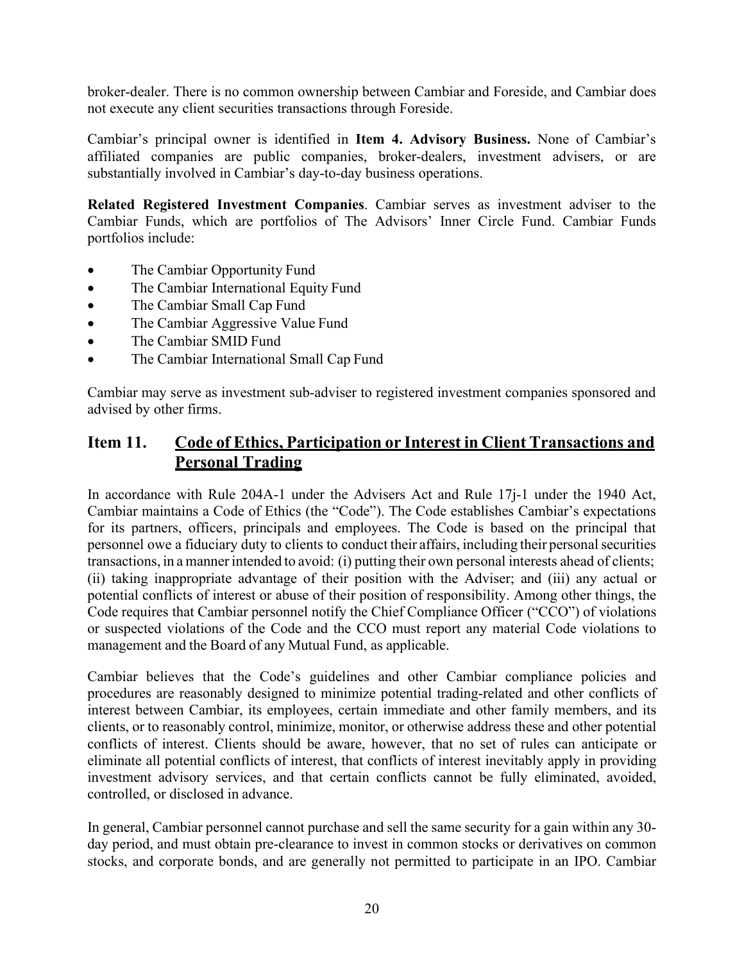broker-dealer. There is no common ownership between Cambiar and Foreside, and Cambiar does not execute any client securities transactions through Foreside.

Cambiar's principal owner is identified in **Item 4. Advisory Business.** None of Cambiar's affiliated companies are public companies, broker-dealers, investment advisers, or are substantially involved in Cambiar's day-to-day business operations.

**Related Registered Investment Companies**. Cambiar serves as investment adviser to the Cambiar Funds, which are portfolios of The Advisors' Inner Circle Fund. Cambiar Funds portfolios include:

- The Cambiar Opportunity Fund
- The Cambiar International Equity Fund
- The Cambiar Small Cap Fund
- The Cambiar Aggressive Value Fund
- The Cambiar SMID Fund
- The Cambiar International Small Cap Fund

Cambiar may serve as investment sub-adviser to registered investment companies sponsored and advised by other firms.

### **Item 11. Code of Ethics, Participation or Interest in Client Transactions and Personal Trading**

In accordance with Rule 204A-1 under the Advisers Act and Rule 17j-1 under the 1940 Act, Cambiar maintains a Code of Ethics (the "Code"). The Code establishes Cambiar's expectations for its partners, officers, principals and employees. The Code is based on the principal that personnel owe a fiduciary duty to clients to conduct their affairs, including their personalsecurities transactions, in a manner intended to avoid: (i) putting their own personal interests ahead of clients; (ii) taking inappropriate advantage of their position with the Adviser; and (iii) any actual or potential conflicts of interest or abuse of their position of responsibility. Among other things, the Code requires that Cambiar personnel notify the Chief Compliance Officer ("CCO") of violations or suspected violations of the Code and the CCO must report any material Code violations to management and the Board of any Mutual Fund, as applicable.

Cambiar believes that the Code's guidelines and other Cambiar compliance policies and procedures are reasonably designed to minimize potential trading-related and other conflicts of interest between Cambiar, its employees, certain immediate and other family members, and its clients, or to reasonably control, minimize, monitor, or otherwise address these and other potential conflicts of interest. Clients should be aware, however, that no set of rules can anticipate or eliminate all potential conflicts of interest, that conflicts of interest inevitably apply in providing investment advisory services, and that certain conflicts cannot be fully eliminated, avoided, controlled, or disclosed in advance.

In general, Cambiar personnel cannot purchase and sell the same security for a gain within any 30 day period, and must obtain pre-clearance to invest in common stocks or derivatives on common stocks, and corporate bonds, and are generally not permitted to participate in an IPO. Cambiar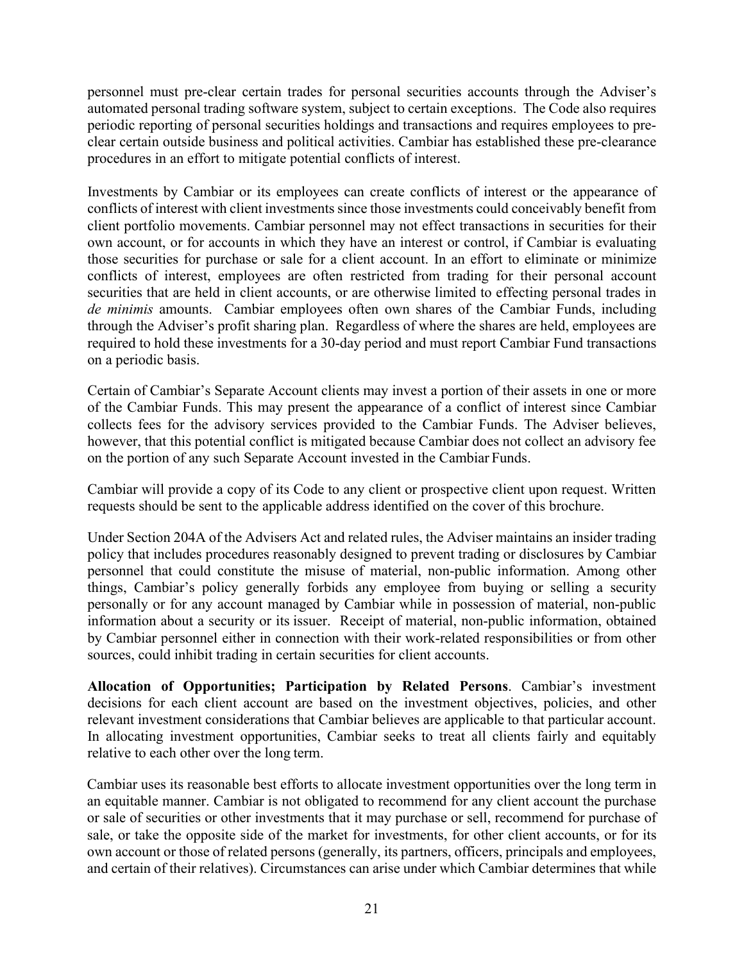personnel must pre-clear certain trades for personal securities accounts through the Adviser's automated personal trading software system, subject to certain exceptions. The Code also requires periodic reporting of personal securities holdings and transactions and requires employees to preclear certain outside business and political activities. Cambiar has established these pre-clearance procedures in an effort to mitigate potential conflicts of interest.

Investments by Cambiar or its employees can create conflicts of interest or the appearance of conflicts of interest with client investments since those investments could conceivably benefit from client portfolio movements. Cambiar personnel may not effect transactions in securities for their own account, or for accounts in which they have an interest or control, if Cambiar is evaluating those securities for purchase or sale for a client account. In an effort to eliminate or minimize conflicts of interest, employees are often restricted from trading for their personal account securities that are held in client accounts, or are otherwise limited to effecting personal trades in *de minimis* amounts. Cambiar employees often own shares of the Cambiar Funds, including through the Adviser's profit sharing plan. Regardless of where the shares are held, employees are required to hold these investments for a 30-day period and must report Cambiar Fund transactions on a periodic basis.

Certain of Cambiar's Separate Account clients may invest a portion of their assets in one or more of the Cambiar Funds. This may present the appearance of a conflict of interest since Cambiar collects fees for the advisory services provided to the Cambiar Funds. The Adviser believes, however, that this potential conflict is mitigated because Cambiar does not collect an advisory fee on the portion of any such Separate Account invested in the Cambiar Funds.

Cambiar will provide a copy of its Code to any client or prospective client upon request. Written requests should be sent to the applicable address identified on the cover of this brochure.

Under Section 204A of the Advisers Act and related rules, the Adviser maintains an insider trading policy that includes procedures reasonably designed to prevent trading or disclosures by Cambiar personnel that could constitute the misuse of material, non-public information. Among other things, Cambiar's policy generally forbids any employee from buying or selling a security personally or for any account managed by Cambiar while in possession of material, non-public information about a security or its issuer. Receipt of material, non-public information, obtained by Cambiar personnel either in connection with their work-related responsibilities or from other sources, could inhibit trading in certain securities for client accounts.

**Allocation of Opportunities; Participation by Related Persons**. Cambiar's investment decisions for each client account are based on the investment objectives, policies, and other relevant investment considerations that Cambiar believes are applicable to that particular account. In allocating investment opportunities, Cambiar seeks to treat all clients fairly and equitably relative to each other over the long term.

Cambiar uses its reasonable best efforts to allocate investment opportunities over the long term in an equitable manner. Cambiar is not obligated to recommend for any client account the purchase or sale of securities or other investments that it may purchase or sell, recommend for purchase of sale, or take the opposite side of the market for investments, for other client accounts, or for its own account or those of related persons (generally, its partners, officers, principals and employees, and certain of their relatives). Circumstances can arise under which Cambiar determines that while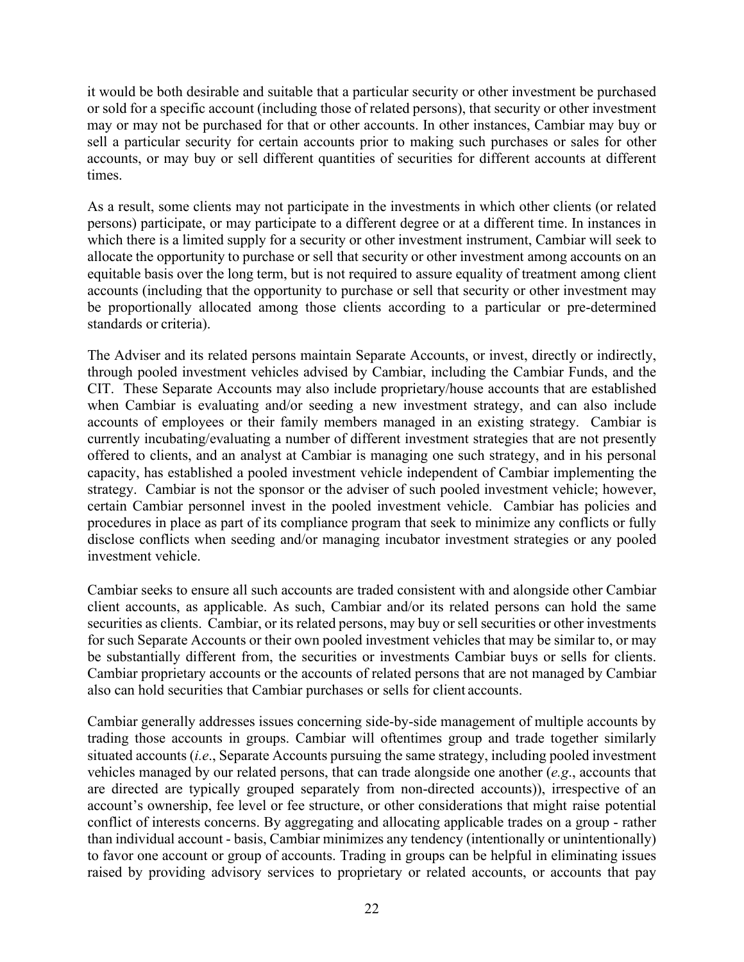it would be both desirable and suitable that a particular security or other investment be purchased or sold for a specific account (including those of related persons), that security or other investment may or may not be purchased for that or other accounts. In other instances, Cambiar may buy or sell a particular security for certain accounts prior to making such purchases or sales for other accounts, or may buy or sell different quantities of securities for different accounts at different times.

As a result, some clients may not participate in the investments in which other clients (or related persons) participate, or may participate to a different degree or at a different time. In instances in which there is a limited supply for a security or other investment instrument, Cambiar will seek to allocate the opportunity to purchase or sell that security or other investment among accounts on an equitable basis over the long term, but is not required to assure equality of treatment among client accounts (including that the opportunity to purchase or sell that security or other investment may be proportionally allocated among those clients according to a particular or pre-determined standards or criteria).

The Adviser and its related persons maintain Separate Accounts, or invest, directly or indirectly, through pooled investment vehicles advised by Cambiar, including the Cambiar Funds, and the CIT. These Separate Accounts may also include proprietary/house accounts that are established when Cambiar is evaluating and/or seeding a new investment strategy, and can also include accounts of employees or their family members managed in an existing strategy. Cambiar is currently incubating/evaluating a number of different investment strategies that are not presently offered to clients, and an analyst at Cambiar is managing one such strategy, and in his personal capacity, has established a pooled investment vehicle independent of Cambiar implementing the strategy. Cambiar is not the sponsor or the adviser of such pooled investment vehicle; however, certain Cambiar personnel invest in the pooled investment vehicle. Cambiar has policies and procedures in place as part of its compliance program that seek to minimize any conflicts or fully disclose conflicts when seeding and/or managing incubator investment strategies or any pooled investment vehicle.

Cambiar seeks to ensure all such accounts are traded consistent with and alongside other Cambiar client accounts, as applicable. As such, Cambiar and/or its related persons can hold the same securities as clients. Cambiar, or its related persons, may buy or sell securities or other investments for such Separate Accounts or their own pooled investment vehicles that may be similar to, or may be substantially different from, the securities or investments Cambiar buys or sells for clients. Cambiar proprietary accounts or the accounts of related persons that are not managed by Cambiar also can hold securities that Cambiar purchases or sells for client accounts.

Cambiar generally addresses issues concerning side-by-side management of multiple accounts by trading those accounts in groups. Cambiar will oftentimes group and trade together similarly situated accounts (*i.e*., Separate Accounts pursuing the same strategy, including pooled investment vehicles managed by our related persons, that can trade alongside one another (*e.g*., accounts that are directed are typically grouped separately from non-directed accounts)), irrespective of an account's ownership, fee level or fee structure, or other considerations that might raise potential conflict of interests concerns. By aggregating and allocating applicable trades on a group - rather than individual account - basis, Cambiar minimizes any tendency (intentionally or unintentionally) to favor one account or group of accounts. Trading in groups can be helpful in eliminating issues raised by providing advisory services to proprietary or related accounts, or accounts that pay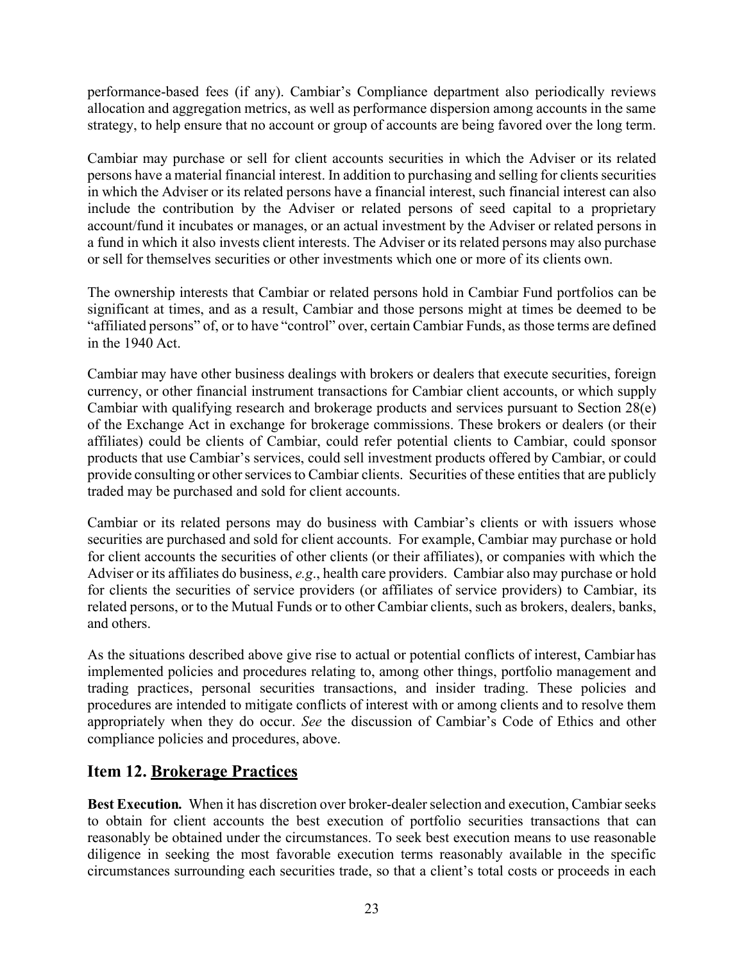performance-based fees (if any). Cambiar's Compliance department also periodically reviews allocation and aggregation metrics, as well as performance dispersion among accounts in the same strategy, to help ensure that no account or group of accounts are being favored over the long term.

Cambiar may purchase or sell for client accounts securities in which the Adviser or its related persons have a material financial interest. In addition to purchasing and selling for clients securities in which the Adviser or its related persons have a financial interest, such financial interest can also include the contribution by the Adviser or related persons of seed capital to a proprietary account/fund it incubates or manages, or an actual investment by the Adviser or related persons in a fund in which it also invests client interests. The Adviser or its related persons may also purchase or sell for themselves securities or other investments which one or more of its clients own.

The ownership interests that Cambiar or related persons hold in Cambiar Fund portfolios can be significant at times, and as a result, Cambiar and those persons might at times be deemed to be "affiliated persons" of, or to have "control" over, certain Cambiar Funds, as those terms are defined in the 1940 Act.

Cambiar may have other business dealings with brokers or dealers that execute securities, foreign currency, or other financial instrument transactions for Cambiar client accounts, or which supply Cambiar with qualifying research and brokerage products and services pursuant to Section 28(e) of the Exchange Act in exchange for brokerage commissions. These brokers or dealers (or their affiliates) could be clients of Cambiar, could refer potential clients to Cambiar, could sponsor products that use Cambiar's services, could sell investment products offered by Cambiar, or could provide consulting or other services to Cambiar clients. Securities of these entities that are publicly traded may be purchased and sold for client accounts.

Cambiar or its related persons may do business with Cambiar's clients or with issuers whose securities are purchased and sold for client accounts. For example, Cambiar may purchase or hold for client accounts the securities of other clients (or their affiliates), or companies with which the Adviser or its affiliates do business, *e.g*., health care providers. Cambiar also may purchase or hold for clients the securities of service providers (or affiliates of service providers) to Cambiar, its related persons, or to the Mutual Funds or to other Cambiar clients, such as brokers, dealers, banks, and others.

As the situations described above give rise to actual or potential conflicts of interest, Cambiar has implemented policies and procedures relating to, among other things, portfolio management and trading practices, personal securities transactions, and insider trading. These policies and procedures are intended to mitigate conflicts of interest with or among clients and to resolve them appropriately when they do occur. *See* the discussion of Cambiar's Code of Ethics and other compliance policies and procedures, above.

# <span id="page-24-0"></span>**Item 12. Brokerage Practices**

**Best Execution.** When it has discretion over broker-dealer selection and execution, Cambiar seeks to obtain for client accounts the best execution of portfolio securities transactions that can reasonably be obtained under the circumstances. To seek best execution means to use reasonable diligence in seeking the most favorable execution terms reasonably available in the specific circumstances surrounding each securities trade, so that a client's total costs or proceeds in each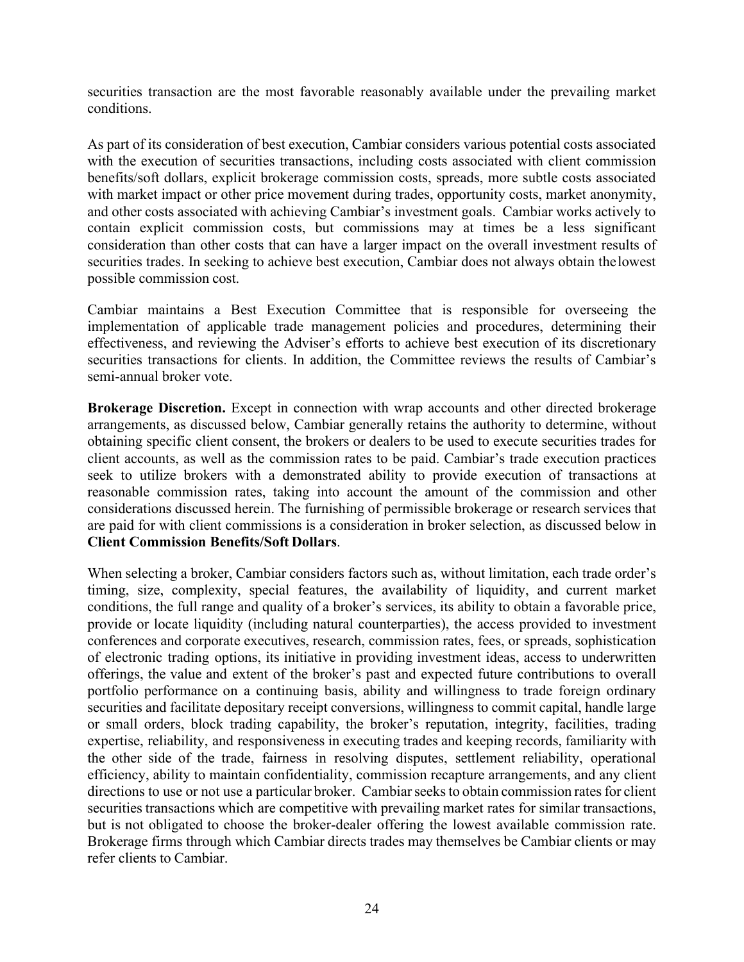securities transaction are the most favorable reasonably available under the prevailing market conditions.

As part of its consideration of best execution, Cambiar considers various potential costs associated with the execution of securities transactions, including costs associated with client commission benefits/soft dollars, explicit brokerage commission costs, spreads, more subtle costs associated with market impact or other price movement during trades, opportunity costs, market anonymity, and other costs associated with achieving Cambiar's investment goals. Cambiar works actively to contain explicit commission costs, but commissions may at times be a less significant consideration than other costs that can have a larger impact on the overall investment results of securities trades. In seeking to achieve best execution, Cambiar does not always obtain thelowest possible commission cost.

Cambiar maintains a Best Execution Committee that is responsible for overseeing the implementation of applicable trade management policies and procedures, determining their effectiveness, and reviewing the Adviser's efforts to achieve best execution of its discretionary securities transactions for clients. In addition, the Committee reviews the results of Cambiar's semi-annual broker vote.

**Brokerage Discretion.** Except in connection with wrap accounts and other directed brokerage arrangements, as discussed below, Cambiar generally retains the authority to determine, without obtaining specific client consent, the brokers or dealers to be used to execute securities trades for client accounts, as well as the commission rates to be paid. Cambiar's trade execution practices seek to utilize brokers with a demonstrated ability to provide execution of transactions at reasonable commission rates, taking into account the amount of the commission and other considerations discussed herein. The furnishing of permissible brokerage or research services that are paid for with client commissions is a consideration in broker selection, as discussed below in **Client Commission Benefits/Soft Dollars**.

When selecting a broker, Cambiar considers factors such as, without limitation, each trade order's timing, size, complexity, special features, the availability of liquidity, and current market conditions, the full range and quality of a broker's services, its ability to obtain a favorable price, provide or locate liquidity (including natural counterparties), the access provided to investment conferences and corporate executives, research, commission rates, fees, or spreads, sophistication of electronic trading options, its initiative in providing investment ideas, access to underwritten offerings, the value and extent of the broker's past and expected future contributions to overall portfolio performance on a continuing basis, ability and willingness to trade foreign ordinary securities and facilitate depositary receipt conversions, willingness to commit capital, handle large or small orders, block trading capability, the broker's reputation, integrity, facilities, trading expertise, reliability, and responsiveness in executing trades and keeping records, familiarity with the other side of the trade, fairness in resolving disputes, settlement reliability, operational efficiency, ability to maintain confidentiality, commission recapture arrangements, and any client directions to use or not use a particular broker. Cambiar seeks to obtain commission rates for client securities transactions which are competitive with prevailing market rates for similar transactions, but is not obligated to choose the broker-dealer offering the lowest available commission rate. Brokerage firms through which Cambiar directs trades may themselves be Cambiar clients or may refer clients to Cambiar.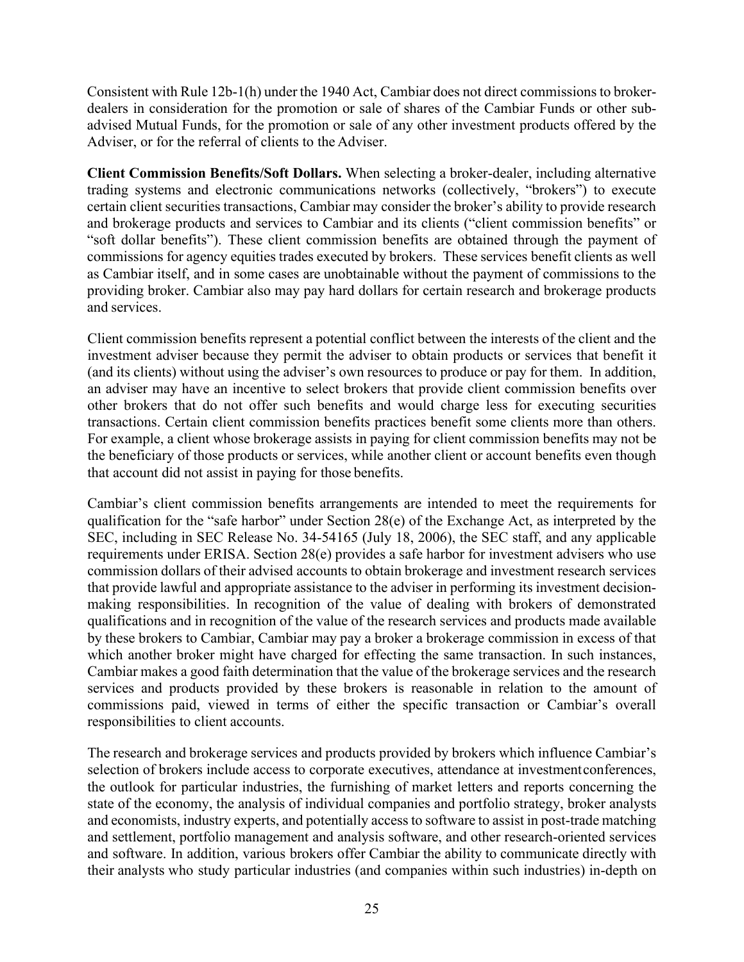Consistent with Rule 12b-1(h) under the 1940 Act, Cambiar does not direct commissions to brokerdealers in consideration for the promotion or sale of shares of the Cambiar Funds or other subadvised Mutual Funds, for the promotion or sale of any other investment products offered by the Adviser, or for the referral of clients to the Adviser.

**Client Commission Benefits/Soft Dollars.** When selecting a broker-dealer, including alternative trading systems and electronic communications networks (collectively, "brokers") to execute certain client securities transactions, Cambiar may consider the broker's ability to provide research and brokerage products and services to Cambiar and its clients ("client commission benefits" or "soft dollar benefits"). These client commission benefits are obtained through the payment of commissions for agency equities trades executed by brokers. These services benefit clients as well as Cambiar itself, and in some cases are unobtainable without the payment of commissions to the providing broker. Cambiar also may pay hard dollars for certain research and brokerage products and services.

Client commission benefits represent a potential conflict between the interests of the client and the investment adviser because they permit the adviser to obtain products or services that benefit it (and its clients) without using the adviser's own resources to produce or pay for them. In addition, an adviser may have an incentive to select brokers that provide client commission benefits over other brokers that do not offer such benefits and would charge less for executing securities transactions. Certain client commission benefits practices benefit some clients more than others. For example, a client whose brokerage assists in paying for client commission benefits may not be the beneficiary of those products or services, while another client or account benefits even though that account did not assist in paying for those benefits.

Cambiar's client commission benefits arrangements are intended to meet the requirements for qualification for the "safe harbor" under Section 28(e) of the Exchange Act, as interpreted by the SEC, including in SEC Release No. 34-54165 (July 18, 2006), the SEC staff, and any applicable requirements under ERISA. Section 28(e) provides a safe harbor for investment advisers who use commission dollars of their advised accounts to obtain brokerage and investment research services that provide lawful and appropriate assistance to the adviser in performing its investment decisionmaking responsibilities. In recognition of the value of dealing with brokers of demonstrated qualifications and in recognition of the value of the research services and products made available by these brokers to Cambiar, Cambiar may pay a broker a brokerage commission in excess of that which another broker might have charged for effecting the same transaction. In such instances, Cambiar makes a good faith determination that the value of the brokerage services and the research services and products provided by these brokers is reasonable in relation to the amount of commissions paid, viewed in terms of either the specific transaction or Cambiar's overall responsibilities to client accounts.

The research and brokerage services and products provided by brokers which influence Cambiar's selection of brokers include access to corporate executives, attendance at investmentconferences, the outlook for particular industries, the furnishing of market letters and reports concerning the state of the economy, the analysis of individual companies and portfolio strategy, broker analysts and economists, industry experts, and potentially access to software to assist in post-trade matching and settlement, portfolio management and analysis software, and other research-oriented services and software. In addition, various brokers offer Cambiar the ability to communicate directly with their analysts who study particular industries (and companies within such industries) in-depth on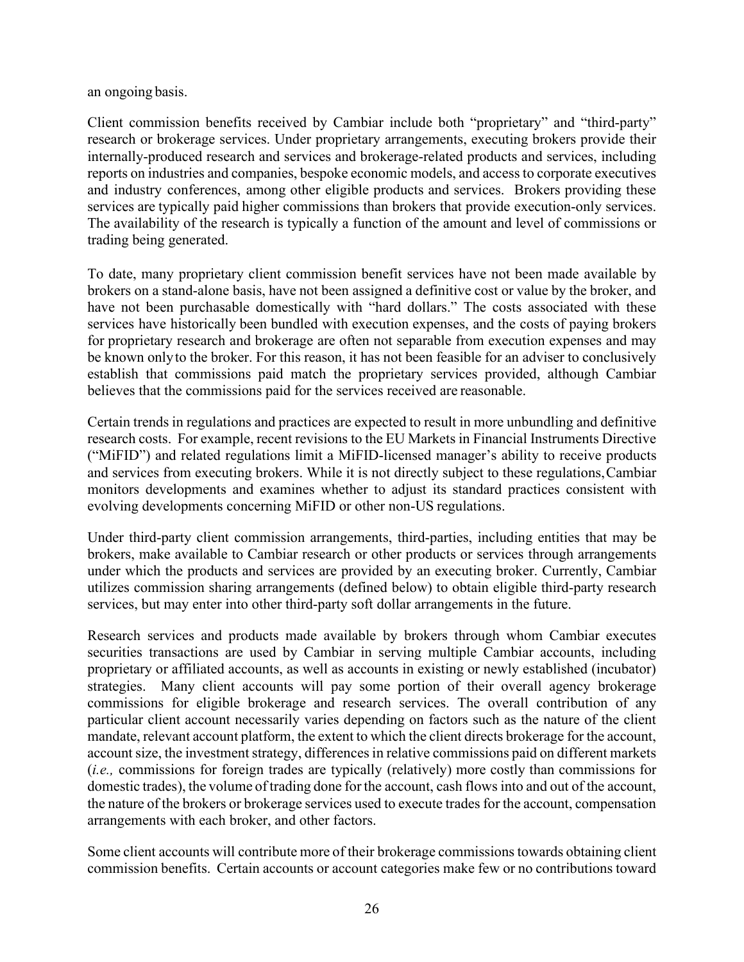an ongoing basis.

Client commission benefits received by Cambiar include both "proprietary" and "third-party" research or brokerage services. Under proprietary arrangements, executing brokers provide their internally-produced research and services and brokerage-related products and services, including reports on industries and companies, bespoke economic models, and access to corporate executives and industry conferences, among other eligible products and services. Brokers providing these services are typically paid higher commissions than brokers that provide execution-only services. The availability of the research is typically a function of the amount and level of commissions or trading being generated.

To date, many proprietary client commission benefit services have not been made available by brokers on a stand-alone basis, have not been assigned a definitive cost or value by the broker, and have not been purchasable domestically with "hard dollars." The costs associated with these services have historically been bundled with execution expenses, and the costs of paying brokers for proprietary research and brokerage are often not separable from execution expenses and may be known onlyto the broker. For this reason, it has not been feasible for an adviser to conclusively establish that commissions paid match the proprietary services provided, although Cambiar believes that the commissions paid for the services received are reasonable.

Certain trends in regulations and practices are expected to result in more unbundling and definitive research costs. For example, recent revisions to the EU Markets in Financial Instruments Directive ("MiFID") and related regulations limit a MiFID-licensed manager's ability to receive products and services from executing brokers. While it is not directly subject to these regulations,Cambiar monitors developments and examines whether to adjust its standard practices consistent with evolving developments concerning MiFID or other non-US regulations.

Under third-party client commission arrangements, third-parties, including entities that may be brokers, make available to Cambiar research or other products or services through arrangements under which the products and services are provided by an executing broker. Currently, Cambiar utilizes commission sharing arrangements (defined below) to obtain eligible third-party research services, but may enter into other third-party soft dollar arrangements in the future.

Research services and products made available by brokers through whom Cambiar executes securities transactions are used by Cambiar in serving multiple Cambiar accounts, including proprietary or affiliated accounts, as well as accounts in existing or newly established (incubator) strategies. Many client accounts will pay some portion of their overall agency brokerage commissions for eligible brokerage and research services. The overall contribution of any particular client account necessarily varies depending on factors such as the nature of the client mandate, relevant account platform, the extent to which the client directs brokerage for the account, account size, the investment strategy, differences in relative commissions paid on different markets (*i.e.,* commissions for foreign trades are typically (relatively) more costly than commissions for domestic trades), the volume of trading done for the account, cash flows into and out of the account, the nature of the brokers or brokerage services used to execute trades for the account, compensation arrangements with each broker, and other factors.

Some client accounts will contribute more of their brokerage commissionstowards obtaining client commission benefits. Certain accounts or account categories make few or no contributions toward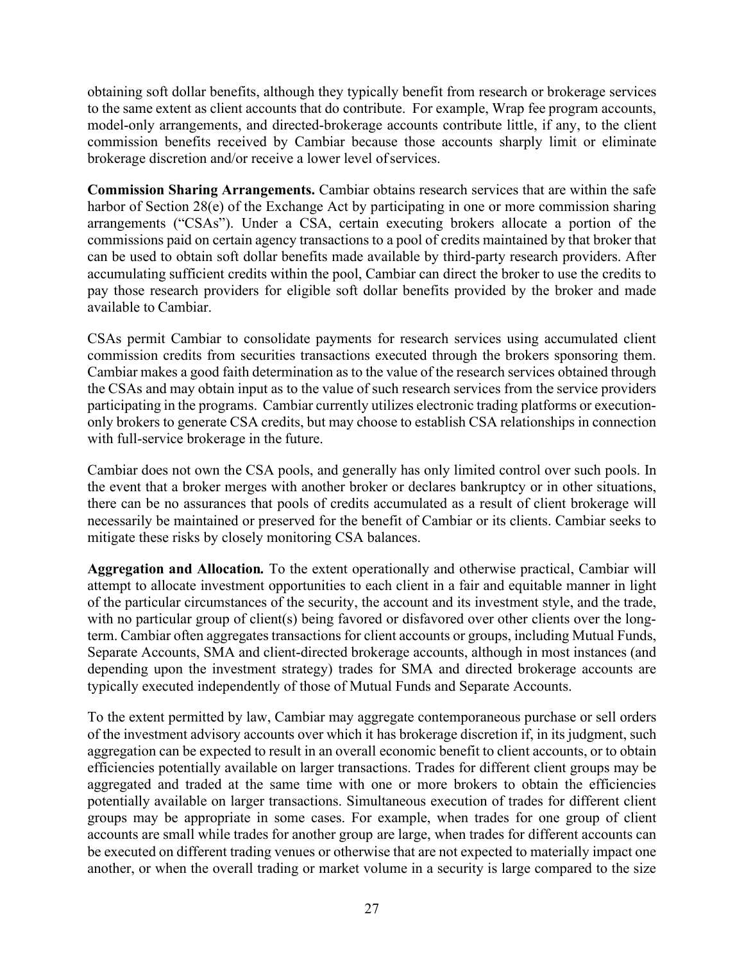obtaining soft dollar benefits, although they typically benefit from research or brokerage services to the same extent as client accounts that do contribute. For example, Wrap fee program accounts, model-only arrangements, and directed-brokerage accounts contribute little, if any, to the client commission benefits received by Cambiar because those accounts sharply limit or eliminate brokerage discretion and/or receive a lower level ofservices.

**Commission Sharing Arrangements.** Cambiar obtains research services that are within the safe harbor of Section 28(e) of the Exchange Act by participating in one or more commission sharing arrangements ("CSAs"). Under a CSA, certain executing brokers allocate a portion of the commissions paid on certain agency transactions to a pool of credits maintained by that broker that can be used to obtain soft dollar benefits made available by third-party research providers. After accumulating sufficient credits within the pool, Cambiar can direct the broker to use the credits to pay those research providers for eligible soft dollar benefits provided by the broker and made available to Cambiar.

CSAs permit Cambiar to consolidate payments for research services using accumulated client commission credits from securities transactions executed through the brokers sponsoring them. Cambiar makes a good faith determination as to the value of the research services obtained through the CSAs and may obtain input as to the value of such research services from the service providers participating in the programs. Cambiar currently utilizes electronic trading platforms or executiononly brokers to generate CSA credits, but may choose to establish CSA relationships in connection with full-service brokerage in the future.

Cambiar does not own the CSA pools, and generally has only limited control over such pools. In the event that a broker merges with another broker or declares bankruptcy or in other situations, there can be no assurances that pools of credits accumulated as a result of client brokerage will necessarily be maintained or preserved for the benefit of Cambiar or its clients. Cambiar seeks to mitigate these risks by closely monitoring CSA balances.

**Aggregation and Allocation***.* To the extent operationally and otherwise practical, Cambiar will attempt to allocate investment opportunities to each client in a fair and equitable manner in light of the particular circumstances of the security, the account and its investment style, and the trade, with no particular group of client(s) being favored or disfavored over other clients over the longterm. Cambiar often aggregates transactions for client accounts or groups, including Mutual Funds, Separate Accounts, SMA and client-directed brokerage accounts, although in most instances (and depending upon the investment strategy) trades for SMA and directed brokerage accounts are typically executed independently of those of Mutual Funds and Separate Accounts.

To the extent permitted by law, Cambiar may aggregate contemporaneous purchase or sell orders of the investment advisory accounts over which it has brokerage discretion if, in its judgment, such aggregation can be expected to result in an overall economic benefit to client accounts, or to obtain efficiencies potentially available on larger transactions. Trades for different client groups may be aggregated and traded at the same time with one or more brokers to obtain the efficiencies potentially available on larger transactions. Simultaneous execution of trades for different client groups may be appropriate in some cases. For example, when trades for one group of client accounts are small while trades for another group are large, when trades for different accounts can be executed on different trading venues or otherwise that are not expected to materially impact one another, or when the overall trading or market volume in a security is large compared to the size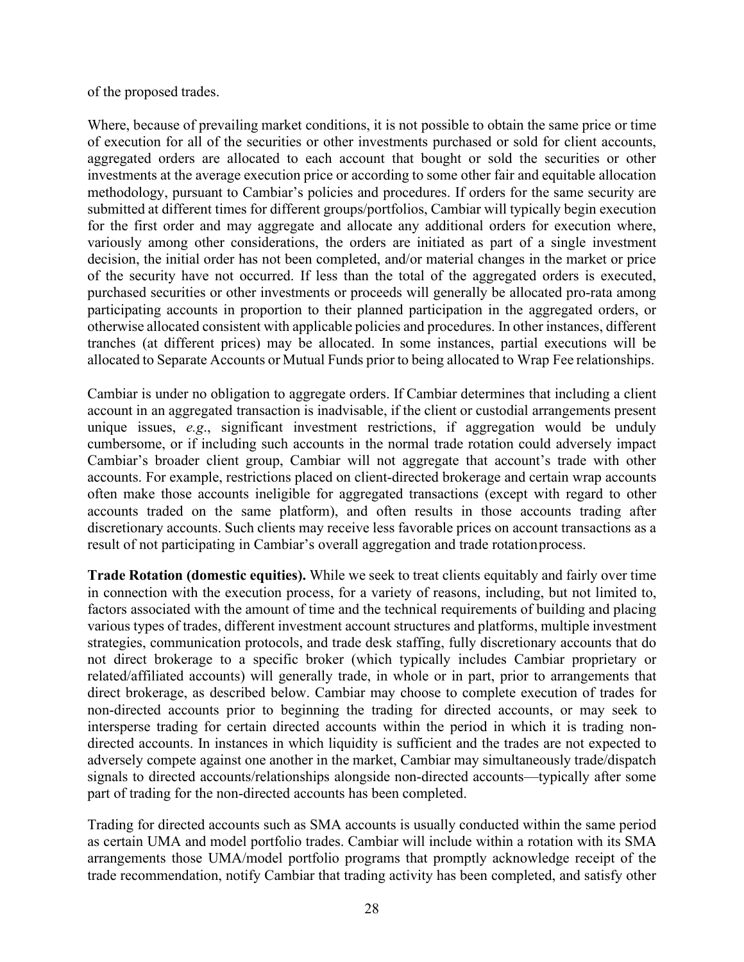of the proposed trades.

Where, because of prevailing market conditions, it is not possible to obtain the same price or time of execution for all of the securities or other investments purchased or sold for client accounts, aggregated orders are allocated to each account that bought or sold the securities or other investments at the average execution price or according to some other fair and equitable allocation methodology, pursuant to Cambiar's policies and procedures. If orders for the same security are submitted at different times for different groups/portfolios, Cambiar will typically begin execution for the first order and may aggregate and allocate any additional orders for execution where, variously among other considerations, the orders are initiated as part of a single investment decision, the initial order has not been completed, and/or material changes in the market or price of the security have not occurred. If less than the total of the aggregated orders is executed, purchased securities or other investments or proceeds will generally be allocated pro-rata among participating accounts in proportion to their planned participation in the aggregated orders, or otherwise allocated consistent with applicable policies and procedures. In other instances, different tranches (at different prices) may be allocated. In some instances, partial executions will be allocated to Separate Accounts or Mutual Funds prior to being allocated to Wrap Fee relationships.

Cambiar is under no obligation to aggregate orders. If Cambiar determines that including a client account in an aggregated transaction is inadvisable, if the client or custodial arrangements present unique issues, *e.g*., significant investment restrictions, if aggregation would be unduly cumbersome, or if including such accounts in the normal trade rotation could adversely impact Cambiar's broader client group, Cambiar will not aggregate that account's trade with other accounts. For example, restrictions placed on client-directed brokerage and certain wrap accounts often make those accounts ineligible for aggregated transactions (except with regard to other accounts traded on the same platform), and often results in those accounts trading after discretionary accounts. Such clients may receive less favorable prices on account transactions as a result of not participating in Cambiar's overall aggregation and trade rotationprocess.

**Trade Rotation (domestic equities).** While we seek to treat clients equitably and fairly over time in connection with the execution process, for a variety of reasons, including, but not limited to, factors associated with the amount of time and the technical requirements of building and placing various types of trades, different investment account structures and platforms, multiple investment strategies, communication protocols, and trade desk staffing, fully discretionary accounts that do not direct brokerage to a specific broker (which typically includes Cambiar proprietary or related/affiliated accounts) will generally trade, in whole or in part, prior to arrangements that direct brokerage, as described below. Cambiar may choose to complete execution of trades for non-directed accounts prior to beginning the trading for directed accounts, or may seek to intersperse trading for certain directed accounts within the period in which it is trading nondirected accounts. In instances in which liquidity is sufficient and the trades are not expected to adversely compete against one another in the market, Cambiar may simultaneously trade/dispatch signals to directed accounts/relationships alongside non-directed accounts—typically after some part of trading for the non-directed accounts has been completed.

Trading for directed accounts such as SMA accounts is usually conducted within the same period as certain UMA and model portfolio trades. Cambiar will include within a rotation with its SMA arrangements those UMA/model portfolio programs that promptly acknowledge receipt of the trade recommendation, notify Cambiar that trading activity has been completed, and satisfy other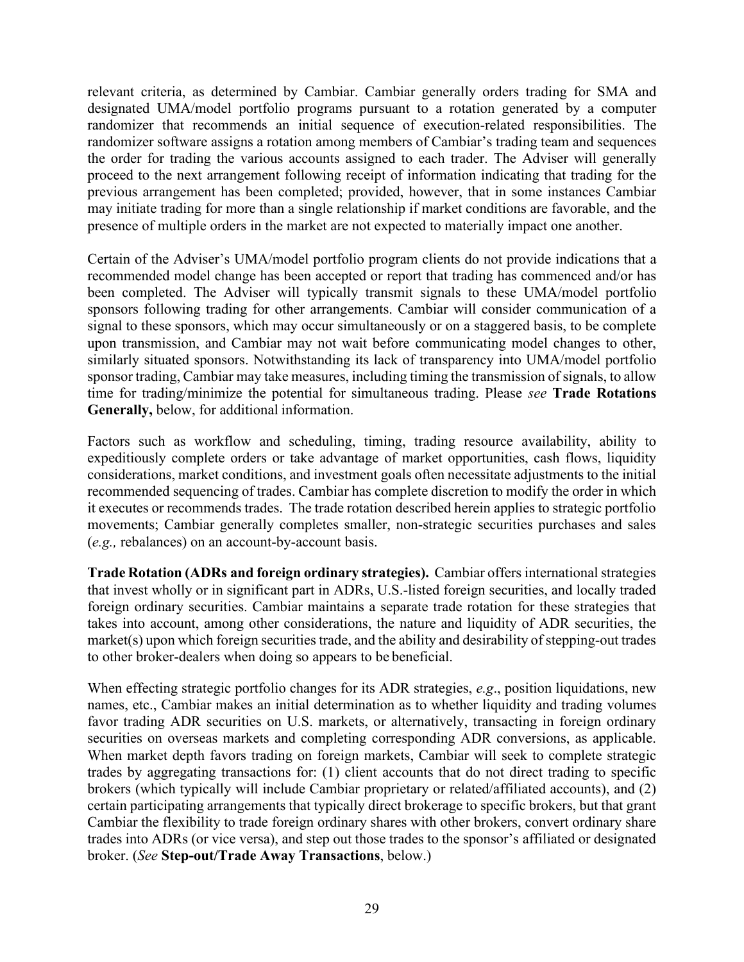relevant criteria, as determined by Cambiar. Cambiar generally orders trading for SMA and designated UMA/model portfolio programs pursuant to a rotation generated by a computer randomizer that recommends an initial sequence of execution-related responsibilities. The randomizer software assigns a rotation among members of Cambiar's trading team and sequences the order for trading the various accounts assigned to each trader. The Adviser will generally proceed to the next arrangement following receipt of information indicating that trading for the previous arrangement has been completed; provided, however, that in some instances Cambiar may initiate trading for more than a single relationship if market conditions are favorable, and the presence of multiple orders in the market are not expected to materially impact one another.

Certain of the Adviser's UMA/model portfolio program clients do not provide indications that a recommended model change has been accepted or report that trading has commenced and/or has been completed. The Adviser will typically transmit signals to these UMA/model portfolio sponsors following trading for other arrangements. Cambiar will consider communication of a signal to these sponsors, which may occur simultaneously or on a staggered basis, to be complete upon transmission, and Cambiar may not wait before communicating model changes to other, similarly situated sponsors. Notwithstanding its lack of transparency into UMA/model portfolio sponsor trading, Cambiar may take measures, including timing the transmission of signals, to allow time for trading/minimize the potential for simultaneous trading. Please *see* **Trade Rotations Generally,** below, for additional information.

Factors such as workflow and scheduling, timing, trading resource availability, ability to expeditiously complete orders or take advantage of market opportunities, cash flows, liquidity considerations, market conditions, and investment goals often necessitate adjustments to the initial recommended sequencing of trades. Cambiar has complete discretion to modify the order in which it executes or recommends trades. The trade rotation described herein applies to strategic portfolio movements; Cambiar generally completes smaller, non-strategic securities purchases and sales (*e.g.,* rebalances) on an account-by-account basis.

**Trade Rotation (ADRs and foreign ordinary strategies).** Cambiar offers internationalstrategies that invest wholly or in significant part in ADRs, U.S.-listed foreign securities, and locally traded foreign ordinary securities. Cambiar maintains a separate trade rotation for these strategies that takes into account, among other considerations, the nature and liquidity of ADR securities, the market(s) upon which foreign securities trade, and the ability and desirability of stepping-out trades to other broker-dealers when doing so appears to be beneficial.

When effecting strategic portfolio changes for its ADR strategies, *e.g*., position liquidations, new names, etc., Cambiar makes an initial determination as to whether liquidity and trading volumes favor trading ADR securities on U.S. markets, or alternatively, transacting in foreign ordinary securities on overseas markets and completing corresponding ADR conversions, as applicable. When market depth favors trading on foreign markets, Cambiar will seek to complete strategic trades by aggregating transactions for: (1) client accounts that do not direct trading to specific brokers (which typically will include Cambiar proprietary or related/affiliated accounts), and (2) certain participating arrangements that typically direct brokerage to specific brokers, but that grant Cambiar the flexibility to trade foreign ordinary shares with other brokers, convert ordinary share trades into ADRs (or vice versa), and step out those trades to the sponsor's affiliated or designated broker. (*See* **Step-out/Trade Away Transactions**, below.)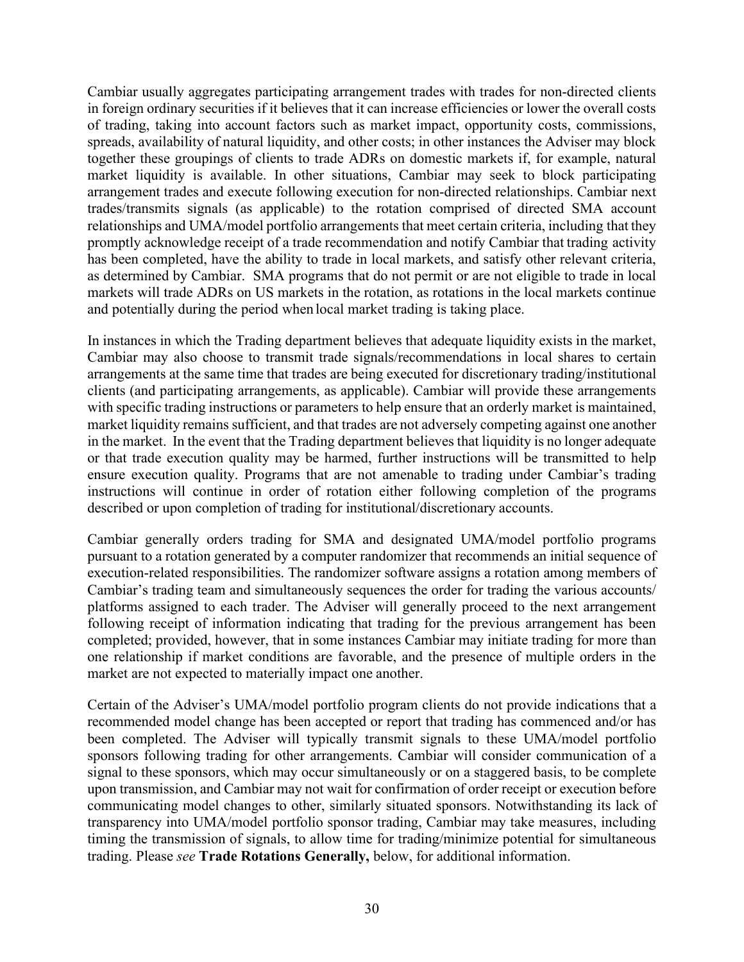Cambiar usually aggregates participating arrangement trades with trades for non-directed clients in foreign ordinary securities if it believes that it can increase efficiencies or lower the overall costs of trading, taking into account factors such as market impact, opportunity costs, commissions, spreads, availability of natural liquidity, and other costs; in other instances the Adviser may block together these groupings of clients to trade ADRs on domestic markets if, for example, natural market liquidity is available. In other situations, Cambiar may seek to block participating arrangement trades and execute following execution for non-directed relationships. Cambiar next trades/transmits signals (as applicable) to the rotation comprised of directed SMA account relationships and UMA/model portfolio arrangements that meet certain criteria, including that they promptly acknowledge receipt of a trade recommendation and notify Cambiar that trading activity has been completed, have the ability to trade in local markets, and satisfy other relevant criteria, as determined by Cambiar. SMA programs that do not permit or are not eligible to trade in local markets will trade ADRs on US markets in the rotation, as rotations in the local markets continue and potentially during the period when local market trading is taking place.

In instances in which the Trading department believes that adequate liquidity exists in the market, Cambiar may also choose to transmit trade signals/recommendations in local shares to certain arrangements at the same time that trades are being executed for discretionary trading/institutional clients (and participating arrangements, as applicable). Cambiar will provide these arrangements with specific trading instructions or parameters to help ensure that an orderly market is maintained, market liquidity remains sufficient, and that trades are not adversely competing against one another in the market. In the event that the Trading department believes that liquidity is no longer adequate or that trade execution quality may be harmed, further instructions will be transmitted to help ensure execution quality. Programs that are not amenable to trading under Cambiar's trading instructions will continue in order of rotation either following completion of the programs described or upon completion of trading for institutional/discretionary accounts.

Cambiar generally orders trading for SMA and designated UMA/model portfolio programs pursuant to a rotation generated by a computer randomizer that recommends an initial sequence of execution-related responsibilities. The randomizer software assigns a rotation among members of Cambiar's trading team and simultaneously sequences the order for trading the various accounts/ platforms assigned to each trader. The Adviser will generally proceed to the next arrangement following receipt of information indicating that trading for the previous arrangement has been completed; provided, however, that in some instances Cambiar may initiate trading for more than one relationship if market conditions are favorable, and the presence of multiple orders in the market are not expected to materially impact one another.

Certain of the Adviser's UMA/model portfolio program clients do not provide indications that a recommended model change has been accepted or report that trading has commenced and/or has been completed. The Adviser will typically transmit signals to these UMA/model portfolio sponsors following trading for other arrangements. Cambiar will consider communication of a signal to these sponsors, which may occur simultaneously or on a staggered basis, to be complete upon transmission, and Cambiar may not wait for confirmation of order receipt or execution before communicating model changes to other, similarly situated sponsors. Notwithstanding its lack of transparency into UMA/model portfolio sponsor trading, Cambiar may take measures, including timing the transmission of signals, to allow time for trading/minimize potential for simultaneous trading. Please *see* **Trade Rotations Generally,** below, for additional information.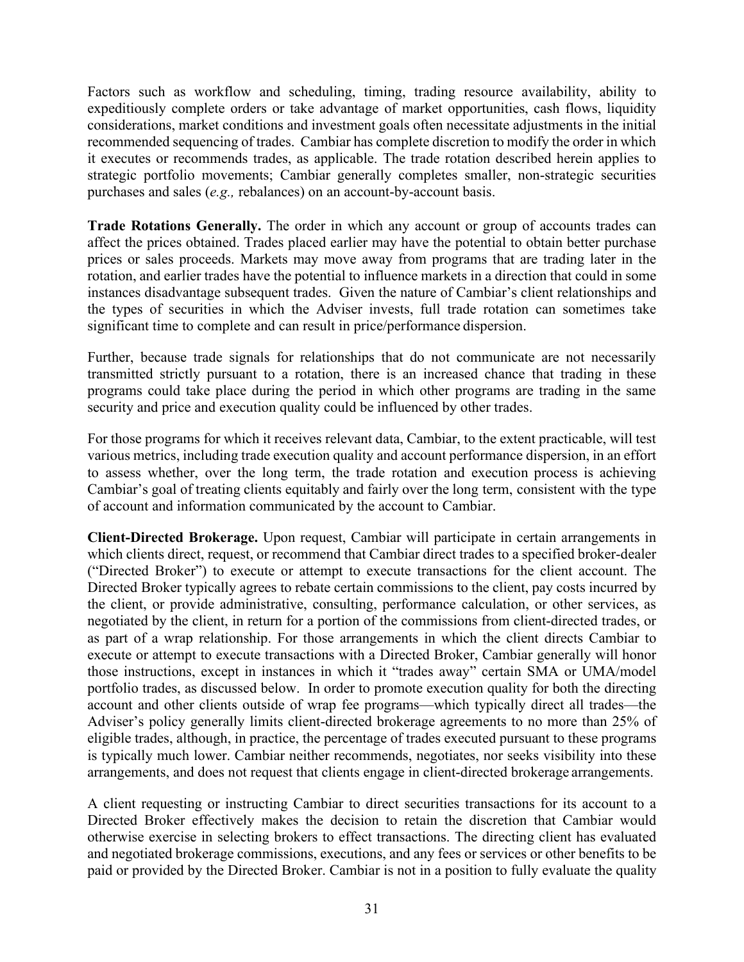Factors such as workflow and scheduling, timing, trading resource availability, ability to expeditiously complete orders or take advantage of market opportunities, cash flows, liquidity considerations, market conditions and investment goals often necessitate adjustments in the initial recommended sequencing of trades. Cambiar has complete discretion to modify the order in which it executes or recommends trades, as applicable. The trade rotation described herein applies to strategic portfolio movements; Cambiar generally completes smaller, non-strategic securities purchases and sales (*e.g.,* rebalances) on an account-by-account basis.

**Trade Rotations Generally.** The order in which any account or group of accounts trades can affect the prices obtained. Trades placed earlier may have the potential to obtain better purchase prices or sales proceeds. Markets may move away from programs that are trading later in the rotation, and earlier trades have the potential to influence markets in a direction that could in some instances disadvantage subsequent trades. Given the nature of Cambiar's client relationships and the types of securities in which the Adviser invests, full trade rotation can sometimes take significant time to complete and can result in price/performance dispersion.

Further, because trade signals for relationships that do not communicate are not necessarily transmitted strictly pursuant to a rotation, there is an increased chance that trading in these programs could take place during the period in which other programs are trading in the same security and price and execution quality could be influenced by other trades.

For those programs for which it receives relevant data, Cambiar, to the extent practicable, will test various metrics, including trade execution quality and account performance dispersion, in an effort to assess whether, over the long term, the trade rotation and execution process is achieving Cambiar's goal of treating clients equitably and fairly over the long term, consistent with the type of account and information communicated by the account to Cambiar.

**Client-Directed Brokerage.** Upon request, Cambiar will participate in certain arrangements in which clients direct, request, or recommend that Cambiar direct trades to a specified broker-dealer ("Directed Broker") to execute or attempt to execute transactions for the client account. The Directed Broker typically agrees to rebate certain commissions to the client, pay costs incurred by the client, or provide administrative, consulting, performance calculation, or other services, as negotiated by the client, in return for a portion of the commissions from client-directed trades, or as part of a wrap relationship. For those arrangements in which the client directs Cambiar to execute or attempt to execute transactions with a Directed Broker, Cambiar generally will honor those instructions, except in instances in which it "trades away" certain SMA or UMA/model portfolio trades, as discussed below. In order to promote execution quality for both the directing account and other clients outside of wrap fee programs—which typically direct all trades—the Adviser's policy generally limits client-directed brokerage agreements to no more than 25% of eligible trades, although, in practice, the percentage of trades executed pursuant to these programs is typically much lower. Cambiar neither recommends, negotiates, nor seeks visibility into these arrangements, and does not request that clients engage in client-directed brokerage arrangements.

A client requesting or instructing Cambiar to direct securities transactions for its account to a Directed Broker effectively makes the decision to retain the discretion that Cambiar would otherwise exercise in selecting brokers to effect transactions. The directing client has evaluated and negotiated brokerage commissions, executions, and any fees or services or other benefits to be paid or provided by the Directed Broker. Cambiar is not in a position to fully evaluate the quality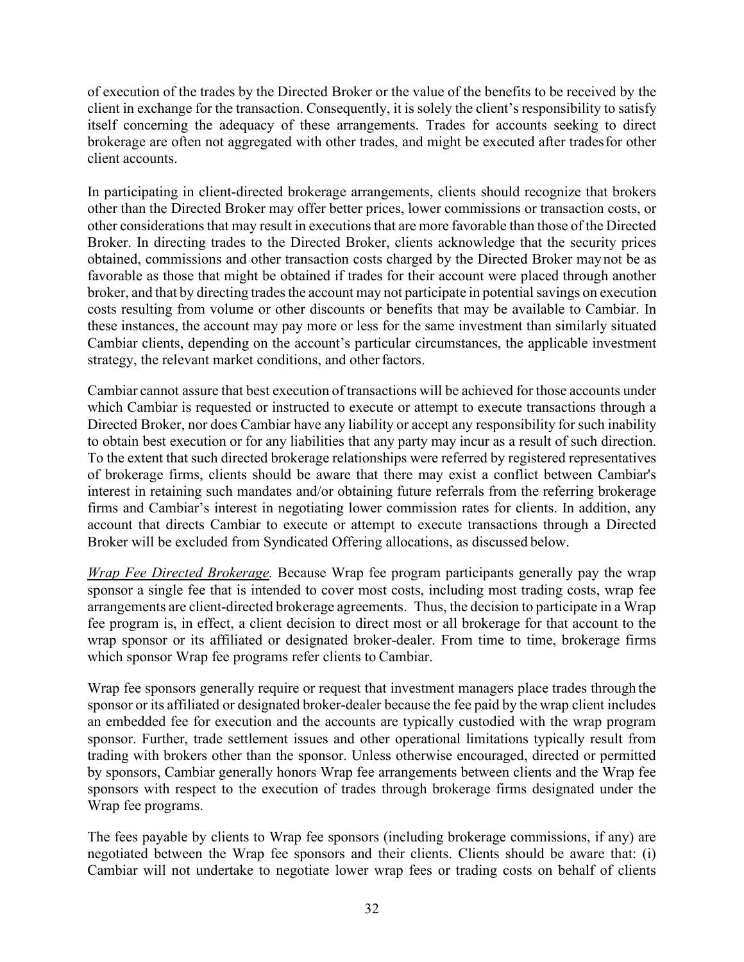of execution of the trades by the Directed Broker or the value of the benefits to be received by the client in exchange for the transaction. Consequently, it is solely the client's responsibility to satisfy itself concerning the adequacy of these arrangements. Trades for accounts seeking to direct brokerage are often not aggregated with other trades, and might be executed after tradesfor other client accounts.

In participating in client-directed brokerage arrangements, clients should recognize that brokers other than the Directed Broker may offer better prices, lower commissions or transaction costs, or other considerations that may result in executions that are more favorable than those of the Directed Broker. In directing trades to the Directed Broker, clients acknowledge that the security prices obtained, commissions and other transaction costs charged by the Directed Broker may not be as favorable as those that might be obtained if trades for their account were placed through another broker, and that by directing trades the account may not participate in potential savings on execution costs resulting from volume or other discounts or benefits that may be available to Cambiar. In these instances, the account may pay more or less for the same investment than similarly situated Cambiar clients, depending on the account's particular circumstances, the applicable investment strategy, the relevant market conditions, and other factors.

Cambiar cannot assure that best execution of transactions will be achieved for those accounts under which Cambiar is requested or instructed to execute or attempt to execute transactions through a Directed Broker, nor does Cambiar have any liability or accept any responsibility for such inability to obtain best execution or for any liabilities that any party may incur as a result of such direction. To the extent that such directed brokerage relationships were referred by registered representatives of brokerage firms, clients should be aware that there may exist a conflict between Cambiar's interest in retaining such mandates and/or obtaining future referrals from the referring brokerage firms and Cambiar's interest in negotiating lower commission rates for clients. In addition, any account that directs Cambiar to execute or attempt to execute transactions through a Directed Broker will be excluded from Syndicated Offering allocations, as discussed below.

*Wrap Fee Directed Brokerage.* Because Wrap fee program participants generally pay the wrap sponsor a single fee that is intended to cover most costs, including most trading costs, wrap fee arrangements are client-directed brokerage agreements. Thus, the decision to participate in a Wrap fee program is, in effect, a client decision to direct most or all brokerage for that account to the wrap sponsor or its affiliated or designated broker-dealer. From time to time, brokerage firms which sponsor Wrap fee programs refer clients to Cambiar.

Wrap fee sponsors generally require or request that investment managers place trades through the sponsor or its affiliated or designated broker-dealer because the fee paid by the wrap client includes an embedded fee for execution and the accounts are typically custodied with the wrap program sponsor. Further, trade settlement issues and other operational limitations typically result from trading with brokers other than the sponsor. Unless otherwise encouraged, directed or permitted by sponsors, Cambiar generally honors Wrap fee arrangements between clients and the Wrap fee sponsors with respect to the execution of trades through brokerage firms designated under the Wrap fee programs.

The fees payable by clients to Wrap fee sponsors (including brokerage commissions, if any) are negotiated between the Wrap fee sponsors and their clients. Clients should be aware that: (i) Cambiar will not undertake to negotiate lower wrap fees or trading costs on behalf of clients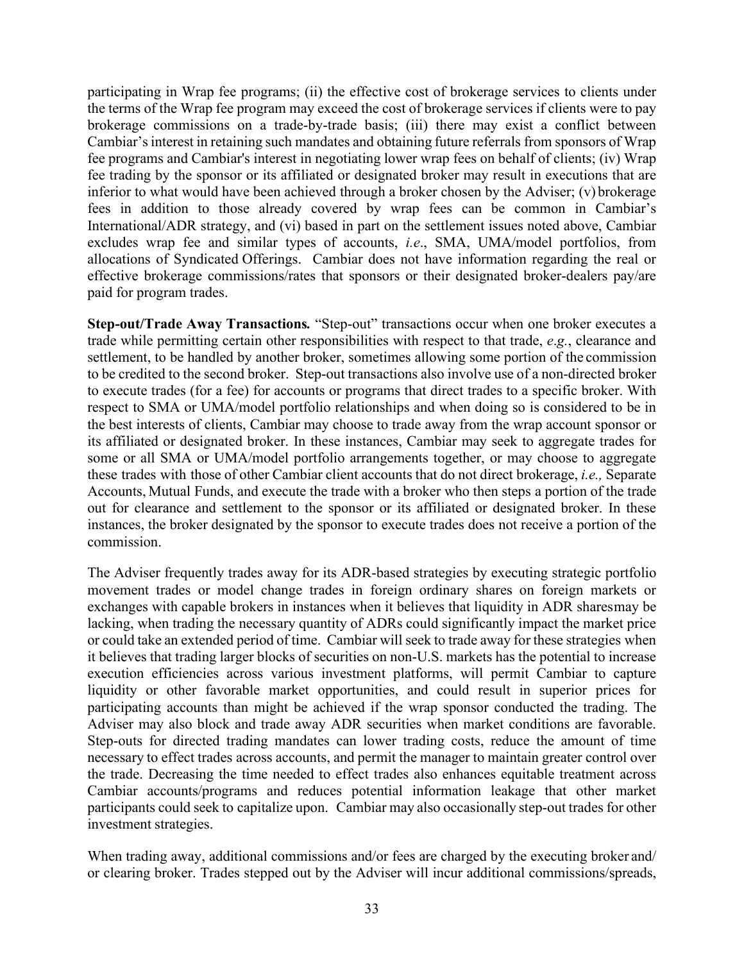participating in Wrap fee programs; (ii) the effective cost of brokerage services to clients under the terms of the Wrap fee program may exceed the cost of brokerage services if clients were to pay brokerage commissions on a trade-by-trade basis; (iii) there may exist a conflict between Cambiar's interest in retaining such mandates and obtaining future referrals from sponsors of Wrap fee programs and Cambiar's interest in negotiating lower wrap fees on behalf of clients; (iv) Wrap fee trading by the sponsor or its affiliated or designated broker may result in executions that are inferior to what would have been achieved through a broker chosen by the Adviser; (v) brokerage fees in addition to those already covered by wrap fees can be common in Cambiar's International/ADR strategy, and (vi) based in part on the settlement issues noted above, Cambiar excludes wrap fee and similar types of accounts, *i.e*., SMA, UMA/model portfolios, from allocations of Syndicated Offerings. Cambiar does not have information regarding the real or effective brokerage commissions/rates that sponsors or their designated broker-dealers pay/are paid for program trades.

**Step-out/Trade Away Transactions***.* "Step-out" transactions occur when one broker executes a trade while permitting certain other responsibilities with respect to that trade, *e*.*g.*, clearance and settlement, to be handled by another broker, sometimes allowing some portion of the commission to be credited to the second broker. Step-out transactions also involve use of a non-directed broker to execute trades (for a fee) for accounts or programs that direct trades to a specific broker. With respect to SMA or UMA/model portfolio relationships and when doing so is considered to be in the best interests of clients, Cambiar may choose to trade away from the wrap account sponsor or its affiliated or designated broker. In these instances, Cambiar may seek to aggregate trades for some or all SMA or UMA/model portfolio arrangements together, or may choose to aggregate these trades with those of other Cambiar client accounts that do not direct brokerage, *i.e.,* Separate Accounts, Mutual Funds, and execute the trade with a broker who then steps a portion of the trade out for clearance and settlement to the sponsor or its affiliated or designated broker. In these instances, the broker designated by the sponsor to execute trades does not receive a portion of the commission.

The Adviser frequently trades away for its ADR-based strategies by executing strategic portfolio movement trades or model change trades in foreign ordinary shares on foreign markets or exchanges with capable brokers in instances when it believes that liquidity in ADR sharesmay be lacking, when trading the necessary quantity of ADRs could significantly impact the market price or could take an extended period of time. Cambiar will seek to trade away for these strategies when it believes that trading larger blocks of securities on non-U.S. markets has the potential to increase execution efficiencies across various investment platforms, will permit Cambiar to capture liquidity or other favorable market opportunities, and could result in superior prices for participating accounts than might be achieved if the wrap sponsor conducted the trading. The Adviser may also block and trade away ADR securities when market conditions are favorable. Step-outs for directed trading mandates can lower trading costs, reduce the amount of time necessary to effect trades across accounts, and permit the manager to maintain greater control over the trade. Decreasing the time needed to effect trades also enhances equitable treatment across Cambiar accounts/programs and reduces potential information leakage that other market participants could seek to capitalize upon. Cambiar may also occasionally step-out trades for other investment strategies.

When trading away, additional commissions and/or fees are charged by the executing broker and/ or clearing broker. Trades stepped out by the Adviser will incur additional commissions/spreads,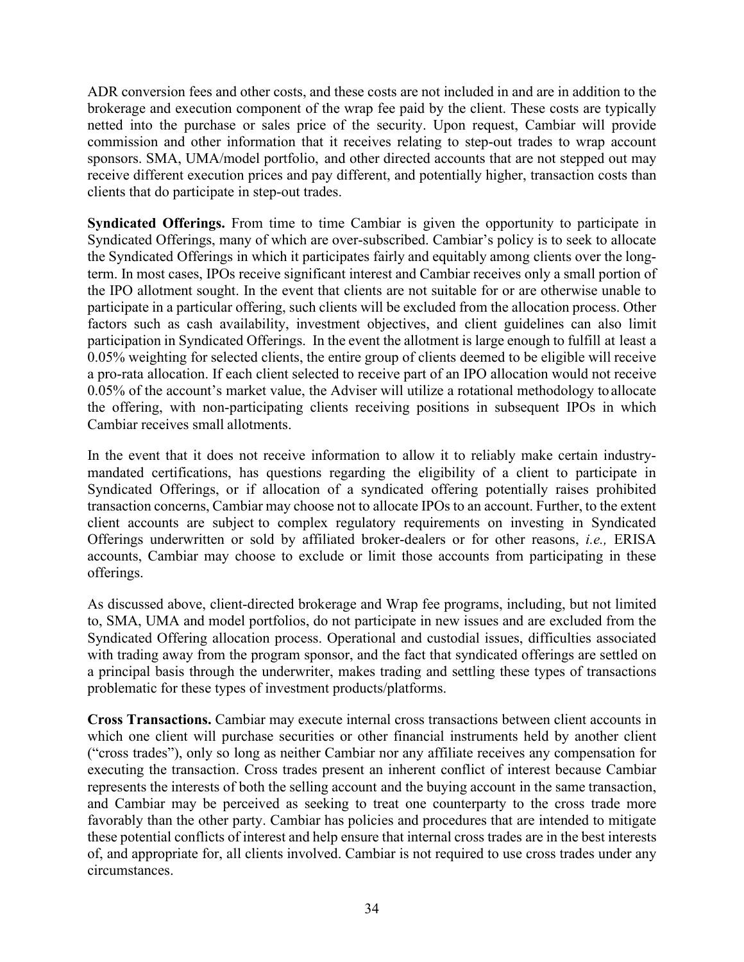ADR conversion fees and other costs, and these costs are not included in and are in addition to the brokerage and execution component of the wrap fee paid by the client. These costs are typically netted into the purchase or sales price of the security. Upon request, Cambiar will provide commission and other information that it receives relating to step-out trades to wrap account sponsors. SMA, UMA/model portfolio, and other directed accounts that are not stepped out may receive different execution prices and pay different, and potentially higher, transaction costs than clients that do participate in step-out trades.

**Syndicated Offerings.** From time to time Cambiar is given the opportunity to participate in Syndicated Offerings, many of which are over-subscribed. Cambiar's policy is to seek to allocate the Syndicated Offerings in which it participates fairly and equitably among clients over the longterm. In most cases, IPOs receive significant interest and Cambiar receives only a small portion of the IPO allotment sought. In the event that clients are not suitable for or are otherwise unable to participate in a particular offering, such clients will be excluded from the allocation process. Other factors such as cash availability, investment objectives, and client guidelines can also limit participation in Syndicated Offerings. In the event the allotment is large enough to fulfill at least a 0.05% weighting for selected clients, the entire group of clients deemed to be eligible will receive a pro-rata allocation. If each client selected to receive part of an IPO allocation would not receive 0.05% of the account's market value, the Adviser will utilize a rotational methodology to allocate the offering, with non-participating clients receiving positions in subsequent IPOs in which Cambiar receives small allotments.

In the event that it does not receive information to allow it to reliably make certain industrymandated certifications, has questions regarding the eligibility of a client to participate in Syndicated Offerings, or if allocation of a syndicated offering potentially raises prohibited transaction concerns, Cambiar may choose not to allocate IPOs to an account. Further, to the extent client accounts are subject to complex regulatory requirements on investing in Syndicated Offerings underwritten or sold by affiliated broker-dealers or for other reasons, *i.e.,* ERISA accounts, Cambiar may choose to exclude or limit those accounts from participating in these offerings.

As discussed above, client-directed brokerage and Wrap fee programs, including, but not limited to, SMA, UMA and model portfolios, do not participate in new issues and are excluded from the Syndicated Offering allocation process. Operational and custodial issues, difficulties associated with trading away from the program sponsor, and the fact that syndicated offerings are settled on a principal basis through the underwriter, makes trading and settling these types of transactions problematic for these types of investment products/platforms.

**Cross Transactions.** Cambiar may execute internal cross transactions between client accounts in which one client will purchase securities or other financial instruments held by another client ("cross trades"), only so long as neither Cambiar nor any affiliate receives any compensation for executing the transaction. Cross trades present an inherent conflict of interest because Cambiar represents the interests of both the selling account and the buying account in the same transaction, and Cambiar may be perceived as seeking to treat one counterparty to the cross trade more favorably than the other party. Cambiar has policies and procedures that are intended to mitigate these potential conflicts of interest and help ensure that internal cross trades are in the best interests of, and appropriate for, all clients involved. Cambiar is not required to use cross trades under any circumstances.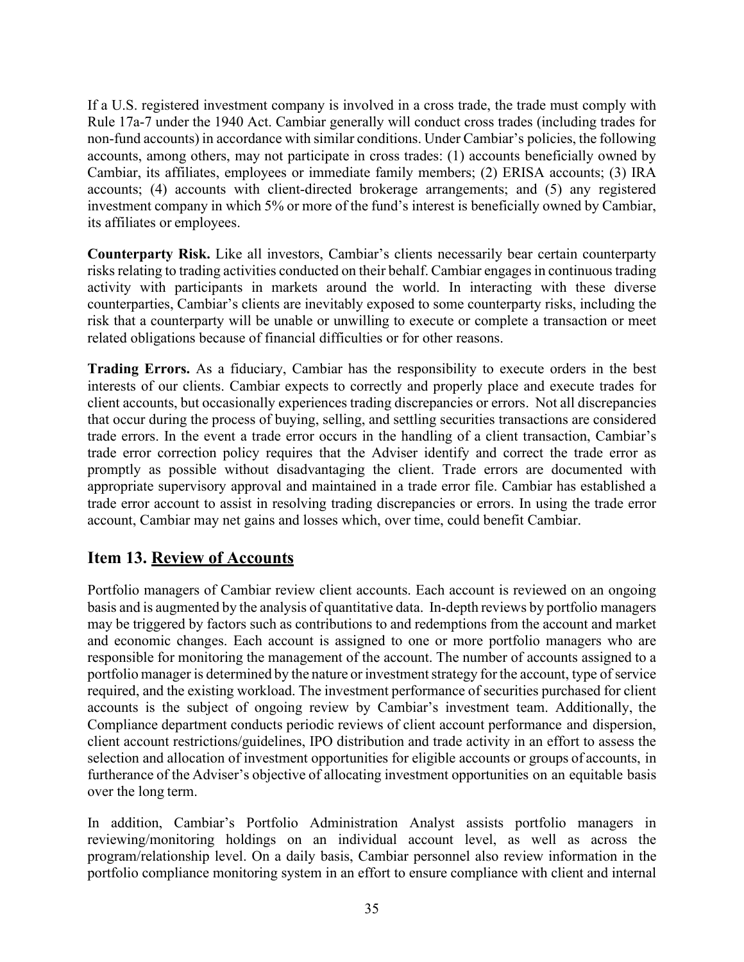If a U.S. registered investment company is involved in a cross trade, the trade must comply with Rule 17a-7 under the 1940 Act. Cambiar generally will conduct cross trades (including trades for non-fund accounts) in accordance with similar conditions. Under Cambiar's policies, the following accounts, among others, may not participate in cross trades: (1) accounts beneficially owned by Cambiar, its affiliates, employees or immediate family members; (2) ERISA accounts; (3) IRA accounts; (4) accounts with client-directed brokerage arrangements; and (5) any registered investment company in which 5% or more of the fund's interest is beneficially owned by Cambiar, its affiliates or employees.

**Counterparty Risk.** Like all investors, Cambiar's clients necessarily bear certain counterparty risks relating to trading activities conducted on their behalf. Cambiar engages in continuous trading activity with participants in markets around the world. In interacting with these diverse counterparties, Cambiar's clients are inevitably exposed to some counterparty risks, including the risk that a counterparty will be unable or unwilling to execute or complete a transaction or meet related obligations because of financial difficulties or for other reasons.

**Trading Errors.** As a fiduciary, Cambiar has the responsibility to execute orders in the best interests of our clients. Cambiar expects to correctly and properly place and execute trades for client accounts, but occasionally experiences trading discrepancies or errors. Not all discrepancies that occur during the process of buying, selling, and settling securities transactions are considered trade errors. In the event a trade error occurs in the handling of a client transaction, Cambiar's trade error correction policy requires that the Adviser identify and correct the trade error as promptly as possible without disadvantaging the client. Trade errors are documented with appropriate supervisory approval and maintained in a trade error file. Cambiar has established a trade error account to assist in resolving trading discrepancies or errors. In using the trade error account, Cambiar may net gains and losses which, over time, could benefit Cambiar.

# <span id="page-36-0"></span>**Item 13. Review of Accounts**

Portfolio managers of Cambiar review client accounts. Each account is reviewed on an ongoing basis and is augmented by the analysis of quantitative data. In-depth reviews by portfolio managers may be triggered by factors such as contributions to and redemptions from the account and market and economic changes. Each account is assigned to one or more portfolio managers who are responsible for monitoring the management of the account. The number of accounts assigned to a portfolio manager is determined by the nature or investment strategy for the account, type of service required, and the existing workload. The investment performance of securities purchased for client accounts is the subject of ongoing review by Cambiar's investment team. Additionally, the Compliance department conducts periodic reviews of client account performance and dispersion, client account restrictions/guidelines, IPO distribution and trade activity in an effort to assess the selection and allocation of investment opportunities for eligible accounts or groups of accounts, in furtherance of the Adviser's objective of allocating investment opportunities on an equitable basis over the long term.

In addition, Cambiar's Portfolio Administration Analyst assists portfolio managers in reviewing/monitoring holdings on an individual account level, as well as across the program/relationship level. On a daily basis, Cambiar personnel also review information in the portfolio compliance monitoring system in an effort to ensure compliance with client and internal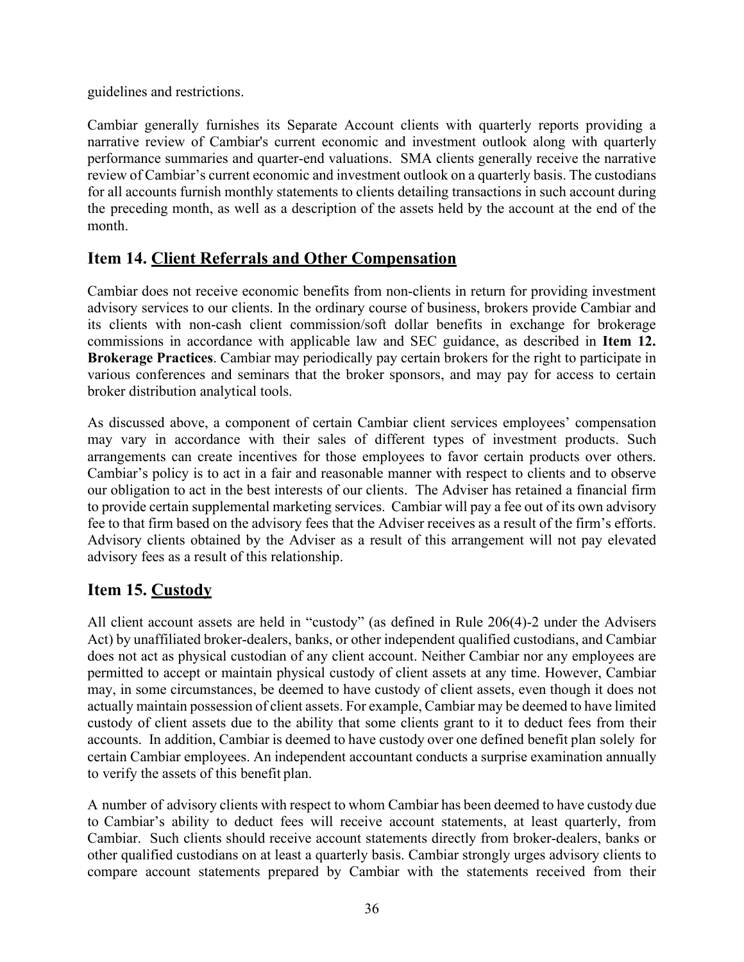guidelines and restrictions.

Cambiar generally furnishes its Separate Account clients with quarterly reports providing a narrative review of Cambiar's current economic and investment outlook along with quarterly performance summaries and quarter-end valuations. SMA clients generally receive the narrative review of Cambiar's current economic and investment outlook on a quarterly basis. The custodians for all accounts furnish monthly statements to clients detailing transactions in such account during the preceding month, as well as a description of the assets held by the account at the end of the month.

# <span id="page-37-0"></span>**Item 14. Client Referrals and Other Compensation**

Cambiar does not receive economic benefits from non-clients in return for providing investment advisory services to our clients. In the ordinary course of business, brokers provide Cambiar and its clients with non-cash client commission/soft dollar benefits in exchange for brokerage commissions in accordance with applicable law and SEC guidance, as described in **Item 12. Brokerage Practices**. Cambiar may periodically pay certain brokers for the right to participate in various conferences and seminars that the broker sponsors, and may pay for access to certain broker distribution analytical tools.

As discussed above, a component of certain Cambiar client services employees' compensation may vary in accordance with their sales of different types of investment products. Such arrangements can create incentives for those employees to favor certain products over others. Cambiar's policy is to act in a fair and reasonable manner with respect to clients and to observe our obligation to act in the best interests of our clients. The Adviser has retained a financial firm to provide certain supplemental marketing services. Cambiar will pay a fee out of its own advisory fee to that firm based on the advisory fees that the Adviser receives as a result of the firm's efforts. Advisory clients obtained by the Adviser as a result of this arrangement will not pay elevated advisory fees as a result of this relationship.

# <span id="page-37-1"></span>**Item 15. Custody**

All client account assets are held in "custody" (as defined in Rule 206(4)-2 under the Advisers Act) by unaffiliated broker-dealers, banks, or other independent qualified custodians, and Cambiar does not act as physical custodian of any client account. Neither Cambiar nor any employees are permitted to accept or maintain physical custody of client assets at any time. However, Cambiar may, in some circumstances, be deemed to have custody of client assets, even though it does not actually maintain possession of client assets. For example, Cambiar may be deemed to have limited custody of client assets due to the ability that some clients grant to it to deduct fees from their accounts. In addition, Cambiar is deemed to have custody over one defined benefit plan solely for certain Cambiar employees. An independent accountant conducts a surprise examination annually to verify the assets of this benefit plan.

A number of advisory clients with respect to whom Cambiar has been deemed to have custody due to Cambiar's ability to deduct fees will receive account statements, at least quarterly, from Cambiar. Such clients should receive account statements directly from broker-dealers, banks or other qualified custodians on at least a quarterly basis. Cambiar strongly urges advisory clients to compare account statements prepared by Cambiar with the statements received from their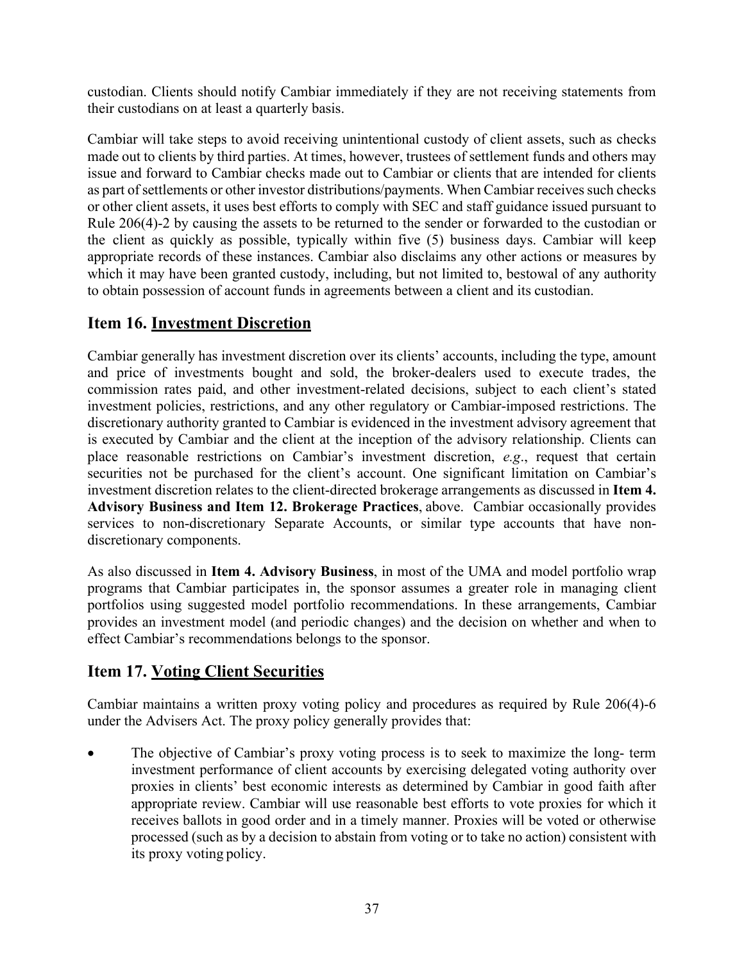custodian. Clients should notify Cambiar immediately if they are not receiving statements from their custodians on at least a quarterly basis.

Cambiar will take steps to avoid receiving unintentional custody of client assets, such as checks made out to clients by third parties. At times, however, trustees of settlement funds and others may issue and forward to Cambiar checks made out to Cambiar or clients that are intended for clients as part of settlements or other investor distributions/payments. When Cambiar receives such checks or other client assets, it uses best efforts to comply with SEC and staff guidance issued pursuant to Rule 206(4)-2 by causing the assets to be returned to the sender or forwarded to the custodian or the client as quickly as possible, typically within five (5) business days. Cambiar will keep appropriate records of these instances. Cambiar also disclaims any other actions or measures by which it may have been granted custody, including, but not limited to, bestowal of any authority to obtain possession of account funds in agreements between a client and its custodian.

# <span id="page-38-0"></span>**Item 16. Investment Discretion**

Cambiar generally has investment discretion over its clients' accounts, including the type, amount and price of investments bought and sold, the broker-dealers used to execute trades, the commission rates paid, and other investment-related decisions, subject to each client's stated investment policies, restrictions, and any other regulatory or Cambiar-imposed restrictions. The discretionary authority granted to Cambiar is evidenced in the investment advisory agreement that is executed by Cambiar and the client at the inception of the advisory relationship. Clients can place reasonable restrictions on Cambiar's investment discretion, *e.g*., request that certain securities not be purchased for the client's account. One significant limitation on Cambiar's investment discretion relates to the client-directed brokerage arrangements as discussed in **Item 4. Advisory Business and Item 12. Brokerage Practices**, above. Cambiar occasionally provides services to non-discretionary Separate Accounts, or similar type accounts that have nondiscretionary components.

As also discussed in **Item 4. Advisory Business**, in most of the UMA and model portfolio wrap programs that Cambiar participates in, the sponsor assumes a greater role in managing client portfolios using suggested model portfolio recommendations. In these arrangements, Cambiar provides an investment model (and periodic changes) and the decision on whether and when to effect Cambiar's recommendations belongs to the sponsor.

# <span id="page-38-1"></span>**Item 17. Voting Client Securities**

Cambiar maintains a written proxy voting policy and procedures as required by Rule 206(4)-6 under the Advisers Act. The proxy policy generally provides that:

The objective of Cambiar's proxy voting process is to seek to maximize the long- term investment performance of client accounts by exercising delegated voting authority over proxies in clients' best economic interests as determined by Cambiar in good faith after appropriate review. Cambiar will use reasonable best efforts to vote proxies for which it receives ballots in good order and in a timely manner. Proxies will be voted or otherwise processed (such as by a decision to abstain from voting or to take no action) consistent with its proxy voting policy.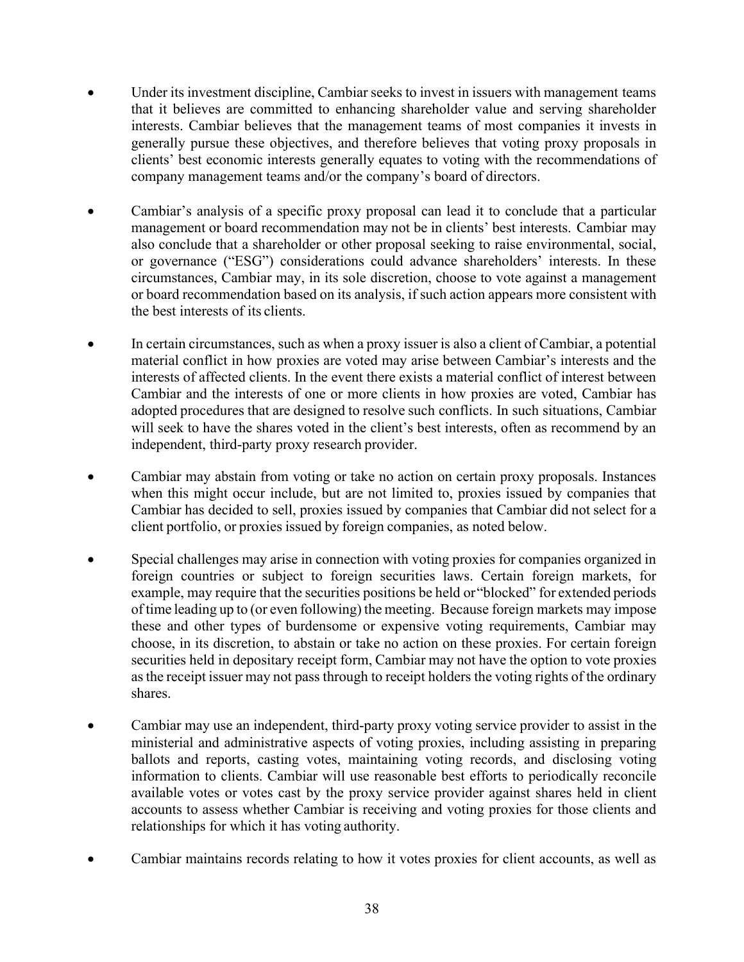- Under its investment discipline, Cambiar seeks to invest in issuers with management teams that it believes are committed to enhancing shareholder value and serving shareholder interests. Cambiar believes that the management teams of most companies it invests in generally pursue these objectives, and therefore believes that voting proxy proposals in clients' best economic interests generally equates to voting with the recommendations of company management teams and/or the company's board of directors.
- Cambiar's analysis of a specific proxy proposal can lead it to conclude that a particular management or board recommendation may not be in clients' best interests. Cambiar may also conclude that a shareholder or other proposal seeking to raise environmental, social, or governance ("ESG") considerations could advance shareholders' interests. In these circumstances, Cambiar may, in its sole discretion, choose to vote against a management or board recommendation based on its analysis, if such action appears more consistent with the best interests of its clients.
- In certain circumstances, such as when a proxy issuer is also a client of Cambiar, a potential material conflict in how proxies are voted may arise between Cambiar's interests and the interests of affected clients. In the event there exists a material conflict of interest between Cambiar and the interests of one or more clients in how proxies are voted, Cambiar has adopted procedures that are designed to resolve such conflicts. In such situations, Cambiar will seek to have the shares voted in the client's best interests, often as recommend by an independent, third-party proxy research provider.
- Cambiar may abstain from voting or take no action on certain proxy proposals. Instances when this might occur include, but are not limited to, proxies issued by companies that Cambiar has decided to sell, proxies issued by companies that Cambiar did not select for a client portfolio, or proxies issued by foreign companies, as noted below.
- Special challenges may arise in connection with voting proxies for companies organized in foreign countries or subject to foreign securities laws. Certain foreign markets, for example, may require that the securities positions be held or "blocked" for extended periods of time leading up to (or even following) the meeting. Because foreign markets may impose these and other types of burdensome or expensive voting requirements, Cambiar may choose, in its discretion, to abstain or take no action on these proxies. For certain foreign securities held in depositary receipt form, Cambiar may not have the option to vote proxies asthe receipt issuer may not pass through to receipt holders the voting rights of the ordinary shares.
- Cambiar may use an independent, third-party proxy voting service provider to assist in the ministerial and administrative aspects of voting proxies, including assisting in preparing ballots and reports, casting votes, maintaining voting records, and disclosing voting information to clients. Cambiar will use reasonable best efforts to periodically reconcile available votes or votes cast by the proxy service provider against shares held in client accounts to assess whether Cambiar is receiving and voting proxies for those clients and relationships for which it has voting authority.
- Cambiar maintains records relating to how it votes proxies for client accounts, as well as